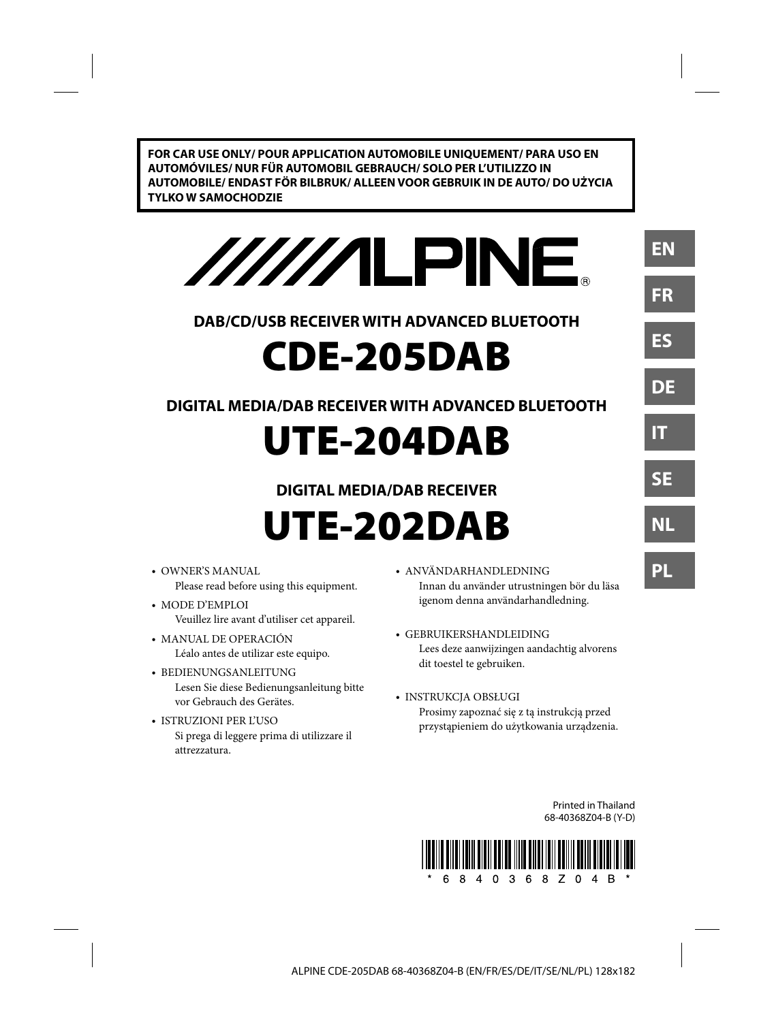**FOR CAR USE ONLY/ POUR APPLICATION AUTOMOBILE UNIQUEMENT/ PARA USO EN AUTOMÓVILES/ NUR FÜR AUTOMOBIL GEBRAUCH/ SOLO PER L'UTILIZZO IN AUTOMOBILE/ ENDAST FÖR BILBRUK/ ALLEEN VOOR GEBRUIK IN DE AUTO/ DO UŻYCIA TYLKO W SAMOCHODZIE**

/////ILPINE

# **DAB/CD/USB RECEIVER WITH ADVANCED BLUETOOTH**

# **CDE-205DAB**

# **DIGITAL MEDIA/DAB RECEIVER WITH ADVANCED BLUETOOTH**

# **UTE-204DAB**

# **DIGITAL MEDIA/DAB RECEIVER**

- **UTE-202DAB**
- OWNER'S MANUAL Please read before using this equipment.
- MODE D'EMPLOI Veuillez lire avant d'utiliser cet appareil.
- MANUAL DE OPERACIÓN Léalo antes de utilizar este equipo.
- BEDIENUNGSANLEITUNG Lesen Sie diese Bedienungsanleitung bitte vor Gebrauch des Gerätes.
- ISTRUZIONI PER L'USO Si prega di leggere prima di utilizzare il attrezzatura.
- ANVÄNDARHANDLEDNING Innan du använder utrustningen bör du läsa igenom denna användarhandledning.
- GEBRUIKERSHANDLEIDING Lees deze aanwijzingen aandachtig alvorens dit toestel te gebruiken.
- INSTRUKCJA OBSŁUGI Prosimy zapoznać się z tą instrukcją przed przystąpieniem do użytkowania urządzenia.

Printed in Thailand 68-40368Z04-B (Y-D) **EN**

**FR**

**ES**

**DE**

**IT**

**SE**

**NL**

**PL**

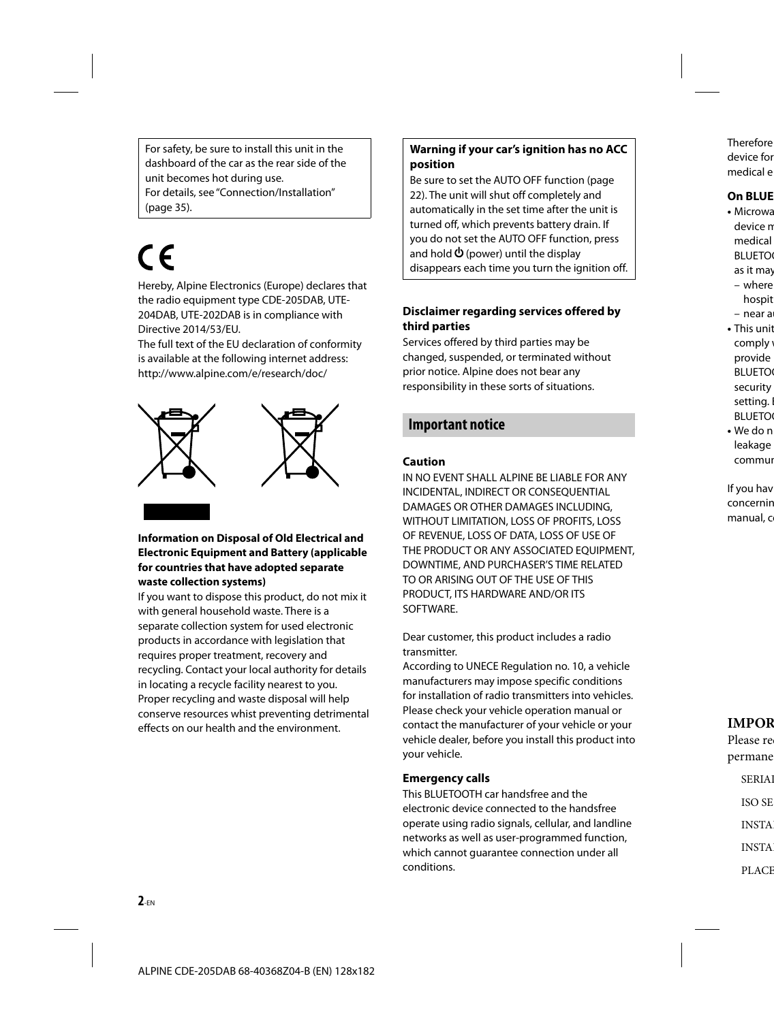For safety, be sure to install this unit in the dashboard of the car as the rear side of the unit becomes hot during use. For details, see "Connection/Installation" (page 35).

# ( F

Hereby, Alpine Electronics (Europe) declares that the radio equipment type CDE-205DAB, UTE-204DAB, UTE-202DAB is in compliance with Directive 2014/53/EU.

The full text of the EU declaration of conformity is available at the following internet address: http://www.alpine.com/e/research/doc/



#### **Information on Disposal of Old Electrical and Electronic Equipment and Battery (applicable for countries that have adopted separate waste collection systems)**

If you want to dispose this product, do not mix it with general household waste. There is a separate collection system for used electronic products in accordance with legislation that requires proper treatment, recovery and recycling. Contact your local authority for details in locating a recycle facility nearest to you. Proper recycling and waste disposal will help conserve resources whist preventing detrimental effects on our health and the environment.

### **Warning if your car's ignition has no ACC position**

Be sure to set the AUTO OFF function (page 22). The unit will shut off completely and automatically in the set time after the unit is turned off, which prevents battery drain. If you do not set the AUTO OFF function, press and hold  $\Phi$  (power) until the display disappears each time you turn the ignition off.

#### **Disclaimer regarding services offered by third parties**

Services offered by third parties may be changed, suspended, or terminated without prior notice. Alpine does not bear any responsibility in these sorts of situations.

# **Important notice**

#### **Caution**

IN NO EVENT SHALL ALPINE BE LIABLE FOR ANY INCIDENTAL, INDIRECT OR CONSEQUENTIAL DAMAGES OR OTHER DAMAGES INCLUDING, WITHOUT LIMITATION, LOSS OF PROFITS, LOSS OF REVENUE, LOSS OF DATA, LOSS OF USE OF THE PRODUCT OR ANY ASSOCIATED EQUIPMENT, DOWNTIME, AND PURCHASER'S TIME RELATED TO OR ARISING OUT OF THE USE OF THIS PRODUCT, ITS HARDWARE AND/OR ITS SOFTWARE.

Dear customer, this product includes a radio transmitter.

According to UNECE Regulation no. 10, a vehicle manufacturers may impose specific conditions for installation of radio transmitters into vehicles. Please check your vehicle operation manual or contact the manufacturer of your vehicle or your vehicle dealer, before you install this product into your vehicle.

#### **Emergency calls**

This BLUETOOTH car handsfree and the electronic device connected to the handsfree operate using radio signals, cellular, and landline networks as well as user-programmed function, which cannot guarantee connection under all conditions.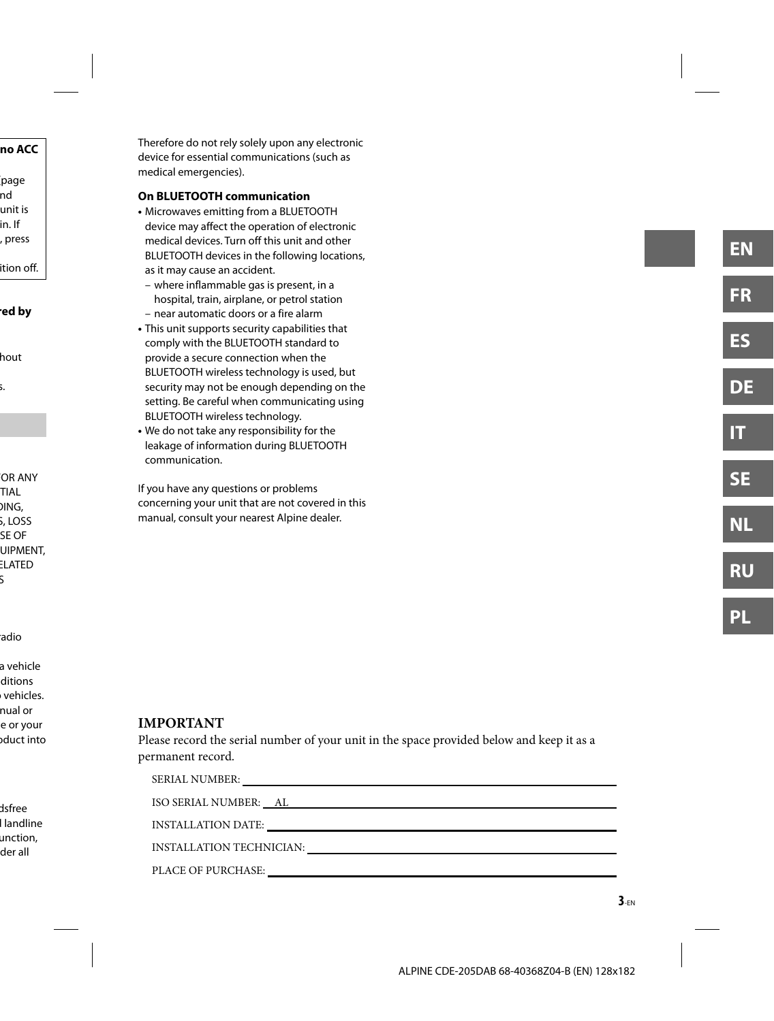Therefore do not rely solely upon any electronic device for essential communications (such as medical emergencies).

#### **On BLUETOOTH communication**

- Microwaves emitting from a BLUETOOTH device may affect the operation of electronic medical devices. Turn off this unit and other BLUETOOTH devices in the following locations, as it may cause an accident.
	- where inflammable gas is present, in a hospital, train, airplane, or petrol station
	- near automatic doors or a fire alarm
- This unit supports security capabilities that comply with the BLUETOOTH standard to provide a secure connection when the BLUETOOTH wireless technology is used, but security may not be enough depending on the setting. Be careful when communicating using BLUETOOTH wireless technology.
- We do not take any responsibility for the leakage of information during BLUETOOTH communication.

If you have any questions or problems concerning your unit that are not covered in this manual, consult your nearest Alpine dealer.

#### **IMPORTANT**

Please record the serial number of your unit in the space provided below and keep it as a permanent record.

| SERIAL NUMBER:           |
|--------------------------|
|                          |
| INSTALLATION DATE:       |
| INSTALLATION TECHNICIAN: |
| PLACE OF PURCHASE:       |
|                          |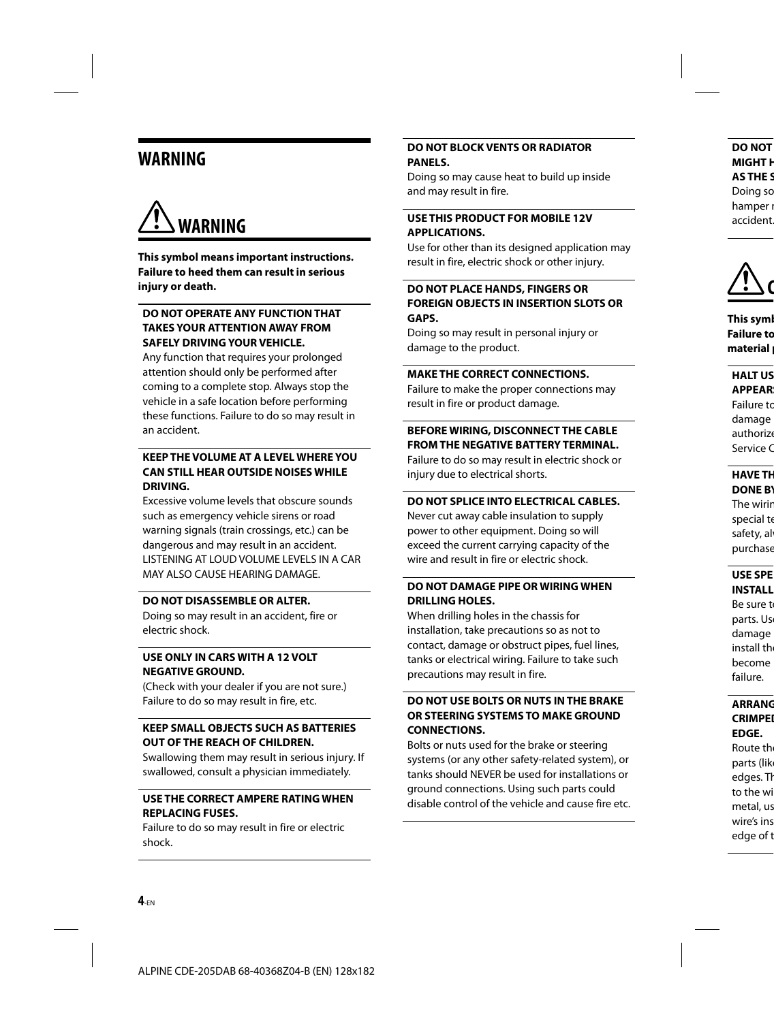# **WARNING**



**This symbol means important instructions. Failure to heed them can result in serious injury or death.**

#### **DO NOT OPERATE ANY FUNCTION THAT TAKES YOUR ATTENTION AWAY FROM SAFELY DRIVING YOUR VEHICLE.**

Any function that requires your prolonged attention should only be performed after coming to a complete stop. Always stop the vehicle in a safe location before performing these functions. Failure to do so may result in an accident.

#### **KEEP THE VOLUME AT A LEVEL WHERE YOU CAN STILL HEAR OUTSIDE NOISES WHILE DRIVING.**

Excessive volume levels that obscure sounds such as emergency vehicle sirens or road warning signals (train crossings, etc.) can be dangerous and may result in an accident. LISTENING AT LOUD VOLUME LEVELS IN A CAR MAY ALSO CAUSE HEARING DAMAGE.

#### **DO NOT DISASSEMBLE OR ALTER.**

Doing so may result in an accident, fire or electric shock.

#### **USE ONLY IN CARS WITH A 12 VOLT NEGATIVE GROUND.**

(Check with your dealer if you are not sure.) Failure to do so may result in fire, etc.

#### **KEEP SMALL OBJECTS SUCH AS BATTERIES OUT OF THE REACH OF CHILDREN.**

Swallowing them may result in serious injury. If swallowed, consult a physician immediately.

#### **USE THE CORRECT AMPERE RATING WHEN REPLACING FUSES.**

Failure to do so may result in fire or electric shock.

#### **DO NOT BLOCK VENTS OR RADIATOR PANELS.**

Doing so may cause heat to build up inside and may result in fire.

#### **USE THIS PRODUCT FOR MOBILE 12V APPLICATIONS.**

Use for other than its designed application may result in fire, electric shock or other injury.

#### **DO NOT PLACE HANDS, FINGERS OR FOREIGN OBJECTS IN INSERTION SLOTS OR GAPS.**

Doing so may result in personal injury or damage to the product.

#### **MAKE THE CORRECT CONNECTIONS.**

Failure to make the proper connections may result in fire or product damage.

#### **BEFORE WIRING, DISCONNECT THE CABLE FROM THE NEGATIVE BATTERY TERMINAL.**

Failure to do so may result in electric shock or injury due to electrical shorts.

#### **DO NOT SPLICE INTO ELECTRICAL CABLES.**

Never cut away cable insulation to supply power to other equipment. Doing so will exceed the current carrying capacity of the wire and result in fire or electric shock.

#### **DO NOT DAMAGE PIPE OR WIRING WHEN DRILLING HOLES.**

When drilling holes in the chassis for installation, take precautions so as not to contact, damage or obstruct pipes, fuel lines, tanks or electrical wiring. Failure to take such precautions may result in fire.

#### **DO NOT USE BOLTS OR NUTS IN THE BRAKE OR STEERING SYSTEMS TO MAKE GROUND CONNECTIONS.**

Bolts or nuts used for the brake or steering systems (or any other safety-related system), or tanks should NEVER be used for installations or ground connections. Using such parts could disable control of the vehicle and cause fire etc.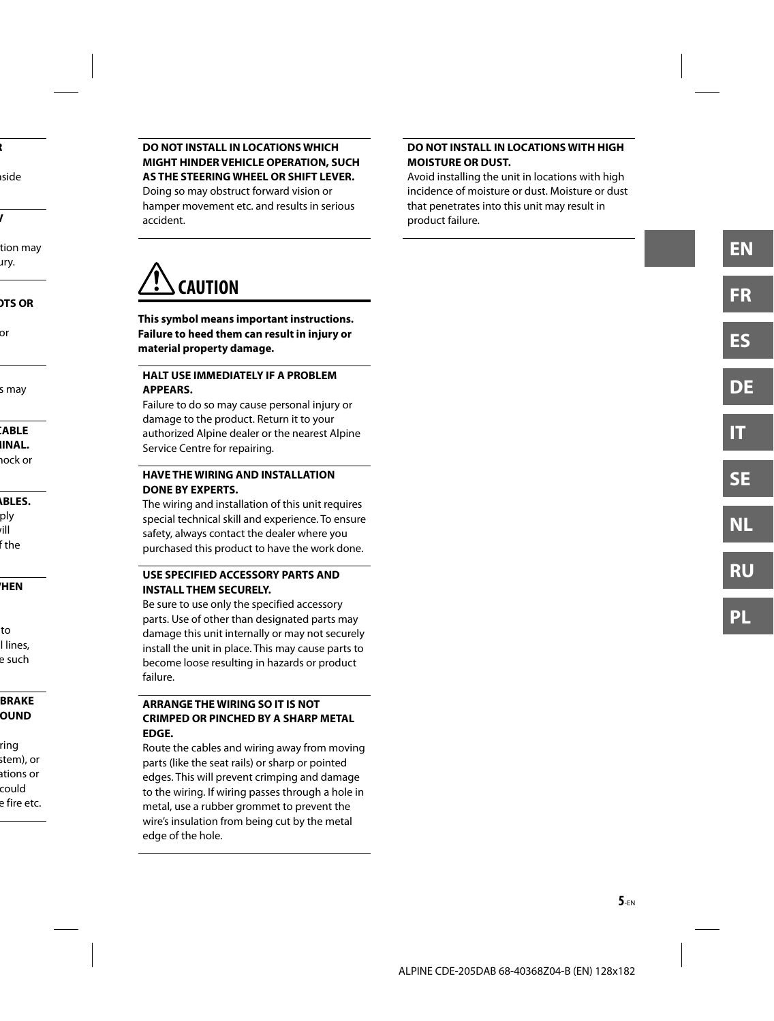#### **DO NOT INSTALL IN LOCATIONS WHICH MIGHT HINDER VEHICLE OPERATION, SUCH AS THE STEERING WHEEL OR SHIFT LEVER.**

Doing so may obstruct forward vision or hamper movement etc. and results in serious accident.

#### **DO NOT INSTALL IN LOCATIONS WITH HIGH MOISTURE OR DUST.**

Avoid installing the unit in locations with high incidence of moisture or dust. Moisture or dust that penetrates into this unit may result in product failure.



**This symbol means important instructions. Failure to heed them can result in injury or material property damage.**

#### **HALT USE IMMEDIATELY IF A PROBLEM APPEARS.**

Failure to do so may cause personal injury or damage to the product. Return it to your authorized Alpine dealer or the nearest Alpine Service Centre for repairing.

#### **HAVE THE WIRING AND INSTALLATION DONE BY EXPERTS.**

The wiring and installation of this unit requires special technical skill and experience. To ensure safety, always contact the dealer where you purchased this product to have the work done.

#### **USE SPECIFIED ACCESSORY PARTS AND INSTALL THEM SECURELY.**

Be sure to use only the specified accessory parts. Use of other than designated parts may damage this unit internally or may not securely install the unit in place. This may cause parts to become loose resulting in hazards or product failure.

#### **ARRANGE THE WIRING SO IT IS NOT CRIMPED OR PINCHED BY A SHARP METAL EDGE.**

Route the cables and wiring away from moving parts (like the seat rails) or sharp or pointed edges. This will prevent crimping and damage to the wiring. If wiring passes through a hole in metal, use a rubber grommet to prevent the wire's insulation from being cut by the metal edge of the hole.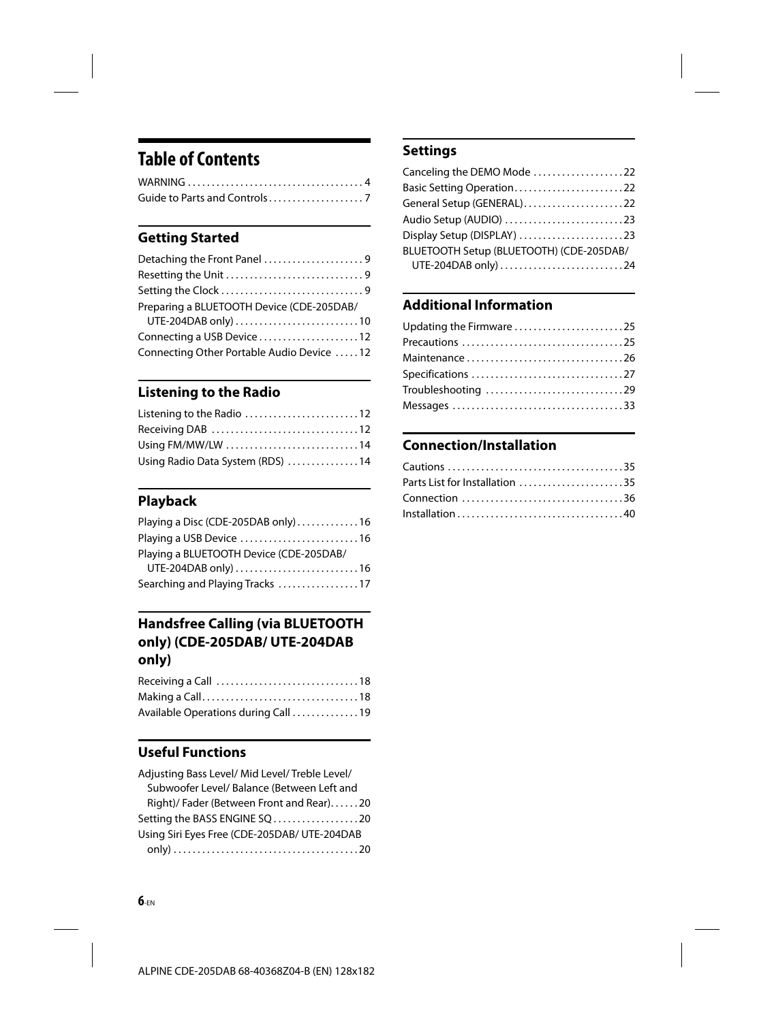# **Table of Contents**

# **Getting Started**

| Detaching the Front Panel 9               |  |
|-------------------------------------------|--|
|                                           |  |
|                                           |  |
| Preparing a BLUETOOTH Device (CDE-205DAB/ |  |
|                                           |  |
| Connecting a USB Device12                 |  |
| Connecting Other Portable Audio Device 12 |  |

# **Listening to the Radio**

| Listening to the Radio 12        |  |
|----------------------------------|--|
|                                  |  |
| Using FM/MW/LW 14                |  |
| Using Radio Data System (RDS) 14 |  |

# **Playback**

| Playing a Disc (CDE-205DAB only)16      |  |
|-----------------------------------------|--|
| Playing a USB Device 16                 |  |
| Playing a BLUETOOTH Device (CDE-205DAB/ |  |
| UTE-204DAB only) 16                     |  |
| Searching and Playing Tracks 17         |  |

# **Handsfree Calling (via BLUETOOTH only) (CDE-205DAB/ UTE-204DAB only)**

| Available Operations during Call 19 |  |
|-------------------------------------|--|

# **Useful Functions**

| Adjusting Bass Level/ Mid Level/ Treble Level/ |
|------------------------------------------------|
| Subwoofer Level/ Balance (Between Left and     |
| Right)/ Fader (Between Front and Rear)20       |
| Setting the BASS ENGINE SQ20                   |
| Using Siri Eyes Free (CDE-205DAB/ UTE-204DAB   |
|                                                |

# **Settings**

| Canceling the DEMO Mode 22               |  |
|------------------------------------------|--|
| Basic Setting Operation22                |  |
| General Setup (GENERAL)22                |  |
| Audio Setup (AUDIO) 23                   |  |
| Display Setup (DISPLAY) 23               |  |
| BLUETOOTH Setup (BLUETOOTH) (CDE-205DAB/ |  |
|                                          |  |
|                                          |  |

# **Additional Information**

| Updating the Firmware 25 |
|--------------------------|
| Precautions 25           |
| Maintenance26            |
| Specifications 27        |
| Troubleshooting 29       |
|                          |
|                          |

# **Connection/Installation**

| Parts List for Installation 35 |  |
|--------------------------------|--|
| Connection 36                  |  |
|                                |  |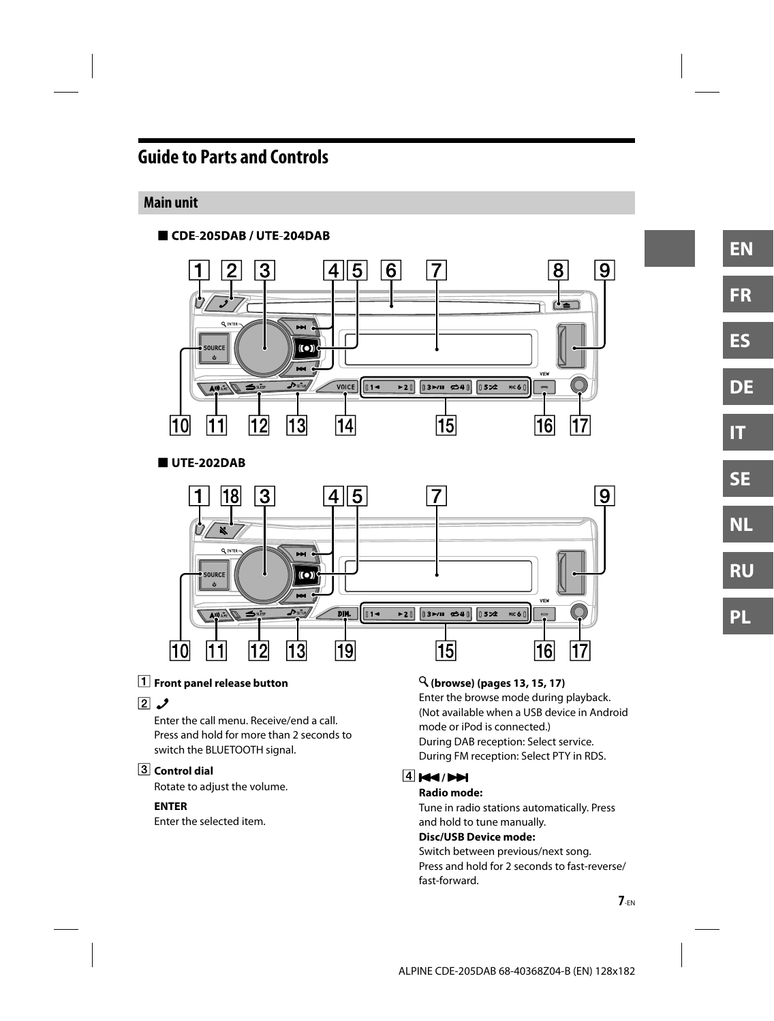# **Guide to Parts and Controls**

### **Main unit**



UTE-202DAB



#### **Front panel release button**

#### $\boxed{2}$   $\cancel{)}$

Enter the call menu. Receive/end a call. Press and hold for more than 2 seconds to switch the BLUETOOTH signal.

### **Control dial**

Rotate to adjust the volume.

#### **ENTER**

Enter the selected item.

#### **(browse) (pages 13, 15, 17)**

Enter the browse mode during playback. (Not available when a USB device in Android mode or iPod is connected.) During DAB reception: Select service. During FM reception: Select PTY in RDS.

#### **4 144 PM**

#### **Radio mode:**

Tune in radio stations automatically. Press and hold to tune manually.

#### **Disc/USB Device mode:**

Switch between previous/next song. Press and hold for 2 seconds to fast-reverse/ fast-forward.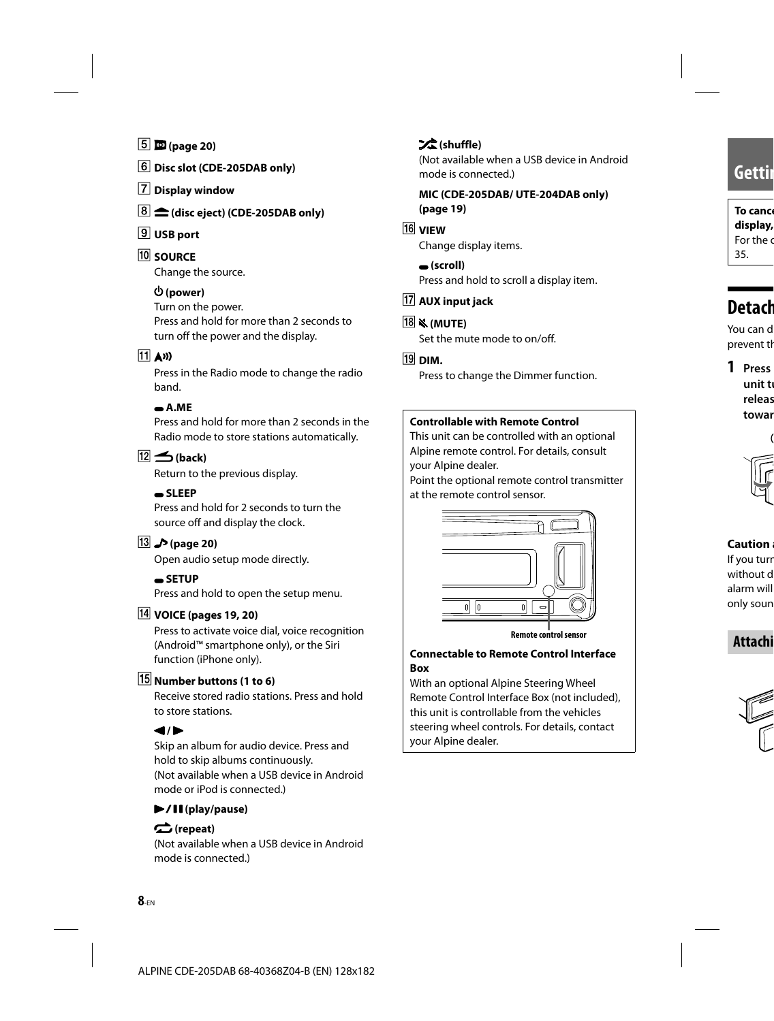- **(page 20)**
- **Disc slot (CDE-205DAB only)**
- **Display window**
- **(disc eject) (CDE-205DAB only)**
- **USB port**
- **10 SOURCE**

Change the source.

#### **(power)**

Turn on the power.

Press and hold for more than 2 seconds to turn off the power and the display.

#### $\overline{11}$  (1)

Press in the Radio mode to change the radio band.

#### **A.ME**

Press and hold for more than 2 seconds in the Radio mode to store stations automatically.

### $\boxed{12}$  (back)

Return to the previous display.

#### **SLEEP**

Press and hold for 2 seconds to turn the source off and display the clock.

#### **(page 20)**

Open audio setup mode directly.

#### **SETUP**

Press and hold to open the setup menu.

#### **VOICE (pages 19, 20)**

Press to activate voice dial, voice recognition (Android™ smartphone only), or the Siri function (iPhone only).

### **Number buttons (1 to 6)**

Receive stored radio stations. Press and hold to store stations.

### $\blacktriangleleft$  /  $\blacktriangleright$

Skip an album for audio device. Press and hold to skip albums continuously. (Not available when a USB device in Android mode or iPod is connected.)

#### **(play/pause)**

#### **(repeat)**

(Not available when a USB device in Android mode is connected.)

### **(shuffle)**

(Not available when a USB device in Android mode is connected.)

#### **MIC (CDE-205DAB/ UTE-204DAB only) (page 19)**

#### **16 VIEW**

Change display items.

#### **(scroll)**

Press and hold to scroll a display item.

### **AUX input jack**

#### **(MUTE)**

Set the mute mode to on/off.

#### $\overline{19}$  DIM.

Press to change the Dimmer function.

#### **Controllable with Remote Control**

This unit can be controlled with an optional Alpine remote control. For details, consult your Alpine dealer.

Point the optional remote control transmitter at the remote control sensor.



#### **Connectable to Remote Control Interface Box**

With an optional Alpine Steering Wheel Remote Control Interface Box (not included), this unit is controllable from the vehicles steering wheel controls. For details, contact your Alpine dealer.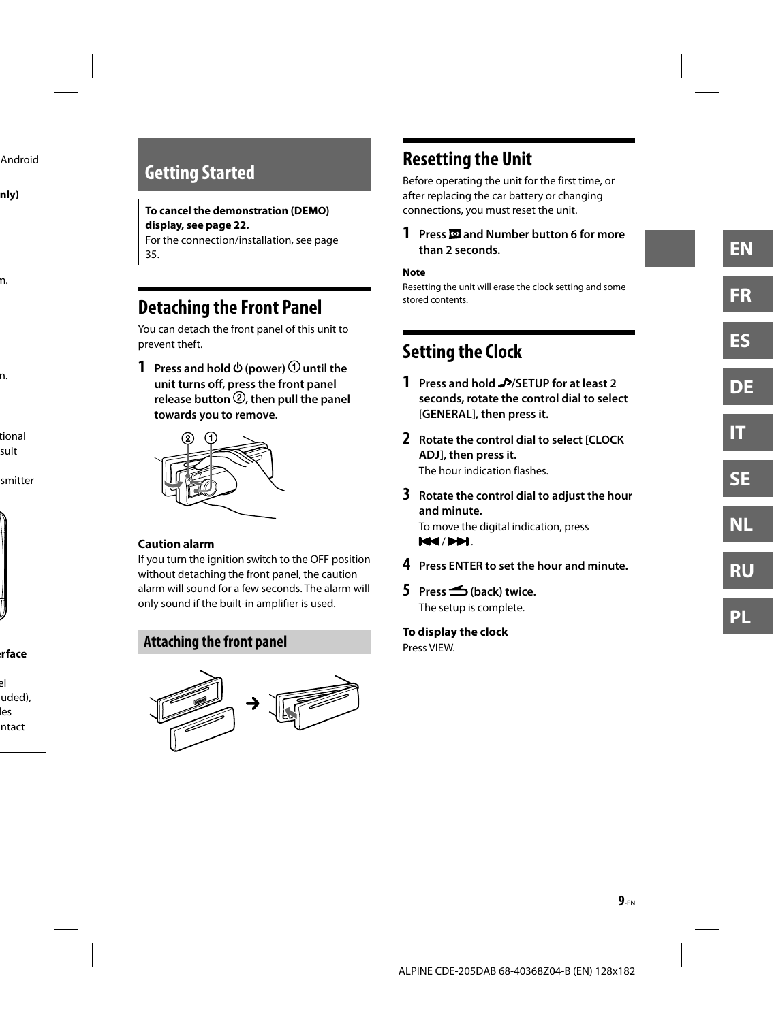# **Getting Started**

#### **To cancel the demonstration (DEMO) display, see page 22.**

For the connection/installation, see page 35.

# **Detaching the Front Panel**

You can detach the front panel of this unit to prevent theft.

**1** Press and hold  $\Phi$  (power)  $\Theta$  until the **unit turns off, press the front panel**  release button <sup>2</sup> then pull the panel **towards you to remove.**



#### **Caution alarm**

If you turn the ignition switch to the OFF position without detaching the front panel, the caution alarm will sound for a few seconds. The alarm will only sound if the built-in amplifier is used.

### **Attaching the front panel**



# **Resetting the Unit**

Before operating the unit for the first time, or after replacing the car battery or changing connections, you must reset the unit.

#### **1 Press and Number button 6 for more than 2 seconds.**

#### **Note**

Resetting the unit will erase the clock setting and some stored contents.

# **Setting the Clock**

- **1 Press and hold /SETUP for at least 2 seconds, rotate the control dial to select [GENERAL], then press it.**
- **2 Rotate the control dial to select [CLOCK ADJ], then press it.** The hour indication flashes.
- **3 Rotate the control dial to adjust the hour and minute.** To move the digital indication, press **144/PPI.**
- **4 Press ENTER to set the hour and minute.**
- **5 Press (back) twice.** The setup is complete.

**To display the clock** Press VIEW.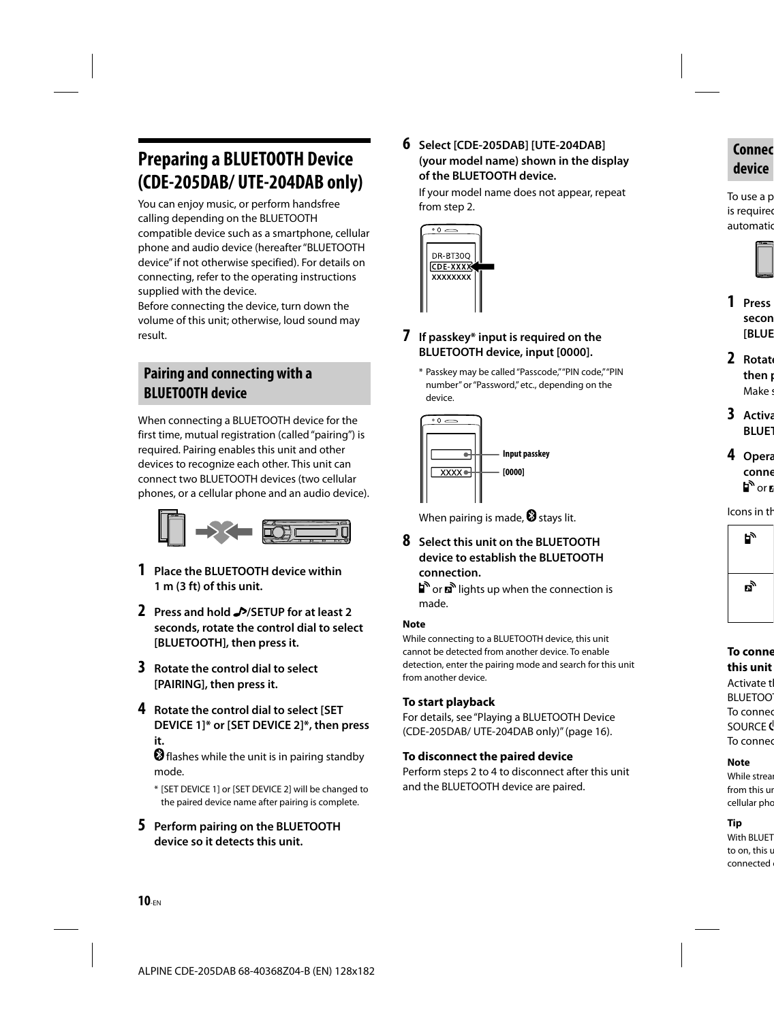# **Preparing a BLUETOOTH Device (CDE-205DAB/ UTE-204DAB only)**

You can enjoy music, or perform handsfree calling depending on the BLUETOOTH compatible device such as a smartphone, cellular phone and audio device (hereafter "BLUETOOTH device" if not otherwise specified). For details on connecting, refer to the operating instructions supplied with the device.

Before connecting the device, turn down the volume of this unit; otherwise, loud sound may result.

# **Pairing and connecting with a BLUETOOTH device**

When connecting a BLUETOOTH device for the first time, mutual registration (called "pairing") is required. Pairing enables this unit and other devices to recognize each other. This unit can connect two BLUETOOTH devices (two cellular phones, or a cellular phone and an audio device).



- **1 Place the BLUETOOTH device within 1 m (3 ft) of this unit.**
- **2 Press and hold /SETUP for at least 2 seconds, rotate the control dial to select [BLUETOOTH], then press it.**
- **3 Rotate the control dial to select [PAIRING], then press it.**
- **4 Rotate the control dial to select [SET DEVICE 1]\* or [SET DEVICE 2]\*, then press it.**

**O** flashes while the unit is in pairing standby mode.

- \* [SET DEVICE 1] or [SET DEVICE 2] will be changed to the paired device name after pairing is complete.
- **5 Perform pairing on the BLUETOOTH device so it detects this unit.**

**6 Select [CDE-205DAB] [UTE-204DAB] (your model name) shown in the display of the BLUETOOTH device.**

If your model name does not appear, repeat from step 2.



#### **7 If passkey\* input is required on the BLUETOOTH device, input [0000].**

\* Passkey may be called "Passcode," "PIN code," "PIN number" or "Password," etc., depending on the device.



When pairing is made,  $\mathbf{\mathcal{D}}$  stays lit.

**8 Select this unit on the BLUETOOTH device to establish the BLUETOOTH connection.**

or **n**<sup>o</sup> lights up when the connection is made.

#### **Note**

While connecting to a BLUETOOTH device, this unit cannot be detected from another device. To enable detection, enter the pairing mode and search for this unit from another device.

### **To start playback**

For details, see "Playing a BLUETOOTH Device (CDE-205DAB/ UTE-204DAB only)" (page 16).

### **To disconnect the paired device**

Perform steps 2 to 4 to disconnect after this unit and the BLUETOOTH device are paired.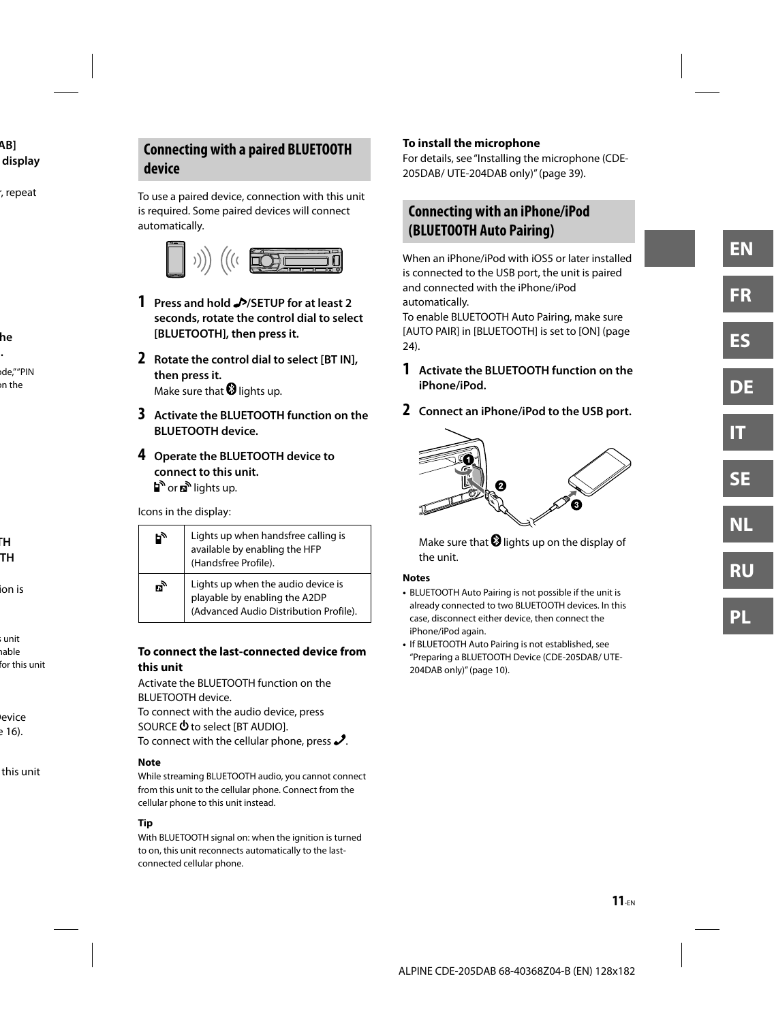# **Connecting with a paired BLUETOOTH device**

To use a paired device, connection with this unit is required. Some paired devices will connect automatically.



- **1 Press and hold /SETUP for at least 2 seconds, rotate the control dial to select [BLUETOOTH], then press it.**
- **2 Rotate the control dial to select [BT IN], then press it.** Make sure that  $\mathbf{\Omega}$  lights up.
- **3 Activate the BLUETOOTH function on the BLUETOOTH device.**
- **4 Operate the BLUETOOTH device to connect to this unit.** or n<sup>o</sup> lights up.

Icons in the display:

|     | Lights up when handsfree calling is<br>available by enabling the HFP<br>(Handsfree Profile).                  |  |  |  |
|-----|---------------------------------------------------------------------------------------------------------------|--|--|--|
| гì, | Lights up when the audio device is<br>playable by enabling the A2DP<br>(Advanced Audio Distribution Profile). |  |  |  |

#### **To connect the last-connected device from this unit**

Activate the BLUETOOTH function on the BLUETOOTH device. To connect with the audio device, press

SOURCE  $\Phi$  to select [BT AUDIO]. To connect with the cellular phone, press  $\mathcal{S}$ .

#### **Note**

While streaming BLUETOOTH audio, you cannot connect from this unit to the cellular phone. Connect from the cellular phone to this unit instead.

#### **Tip**

With BLUETOOTH signal on: when the ignition is turned to on, this unit reconnects automatically to the lastconnected cellular phone.

### **To install the microphone**

For details, see "Installing the microphone (CDE-205DAB/ UTE-204DAB only)" (page 39).

### **Connecting with an iPhone/iPod (BLUETOOTH Auto Pairing)**

When an iPhone/iPod with iOS5 or later installed is connected to the USB port, the unit is paired and connected with the iPhone/iPod automatically.

To enable BLUETOOTH Auto Pairing, make sure [AUTO PAIR] in [BLUETOOTH] is set to [ON] (page 24).

- **1 Activate the BLUETOOTH function on the iPhone/iPod.**
- **2 Connect an iPhone/iPod to the USB port.**



Make sure that  $\bm{\Theta}$  lights up on the display of the unit.

#### **Notes**

- BLUETOOTH Auto Pairing is not possible if the unit is already connected to two BLUETOOTH devices. In this case, disconnect either device, then connect the iPhone/iPod again.
- If BLUETOOTH Auto Pairing is not established, see "Preparing a BLUETOOTH Device (CDE-205DAB/ UTE-204DAB only)" (page 10).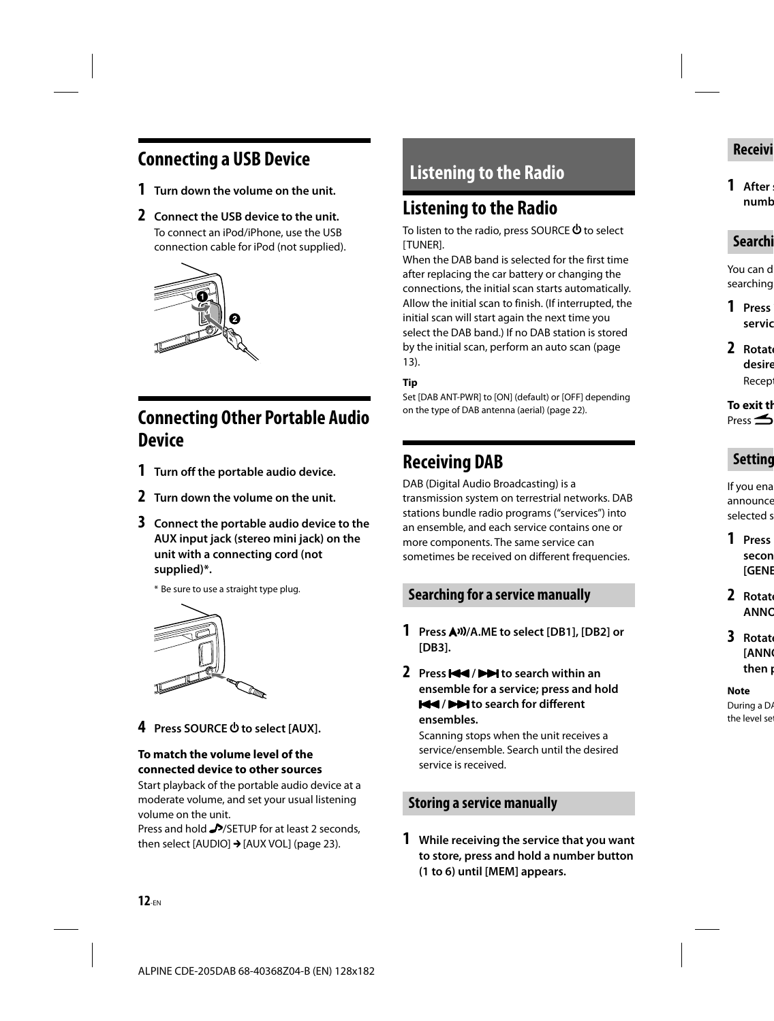# **Connecting a USB Device**

- **1 Turn down the volume on the unit.**
- **2 Connect the USB device to the unit.** To connect an iPod/iPhone, use the USB connection cable for iPod (not supplied).



# **Connecting Other Portable Audio Device**

- **1 Turn off the portable audio device.**
- **2 Turn down the volume on the unit.**
- **3 Connect the portable audio device to the AUX input jack (stereo mini jack) on the unit with a connecting cord (not supplied)\*.**

\* Be sure to use a straight type plug.



**4** Press SOURCE **the select [AUX]**.

#### **To match the volume level of the connected device to other sources**

Start playback of the portable audio device at a moderate volume, and set your usual listening volume on the unit.

Press and hold MSETUP for at least 2 seconds, then select [AUDIO]  $\rightarrow$  [AUX VOL] (page 23).

# **Listening to the Radio**

# **Listening to the Radio**

To listen to the radio, press SOURCE  $\Phi$  to select [TUNER].

When the DAB band is selected for the first time after replacing the car battery or changing the connections, the initial scan starts automatically. Allow the initial scan to finish. (If interrupted, the initial scan will start again the next time you select the DAB band.) If no DAB station is stored by the initial scan, perform an auto scan (page 13).

#### **Tip**

Set [DAB ANT-PWR] to [ON] (default) or [OFF] depending on the type of DAB antenna (aerial) (page 22).

# **Receiving DAB**

DAB (Digital Audio Broadcasting) is a transmission system on terrestrial networks. DAB stations bundle radio programs ("services") into an ensemble, and each service contains one or more components. The same service can sometimes be received on different frequencies.

## **Searching for a service manually**

- **1 Press /A.ME to select [DB1], [DB2] or [DB3].**
- **2** Press  $\blacktriangleleft$  /  $\blacktriangleright$  to search within an **ensemble for a service; press and hold**   $\blacktriangleright\blacktriangleright\blacktriangleright\blacktriangleright\blacktriangleright$  **to search for different ensembles.**

Scanning stops when the unit receives a service/ensemble. Search until the desired service is received.

### **Storing a service manually**

**1 While receiving the service that you want to store, press and hold a number button (1 to 6) until [MEM] appears.**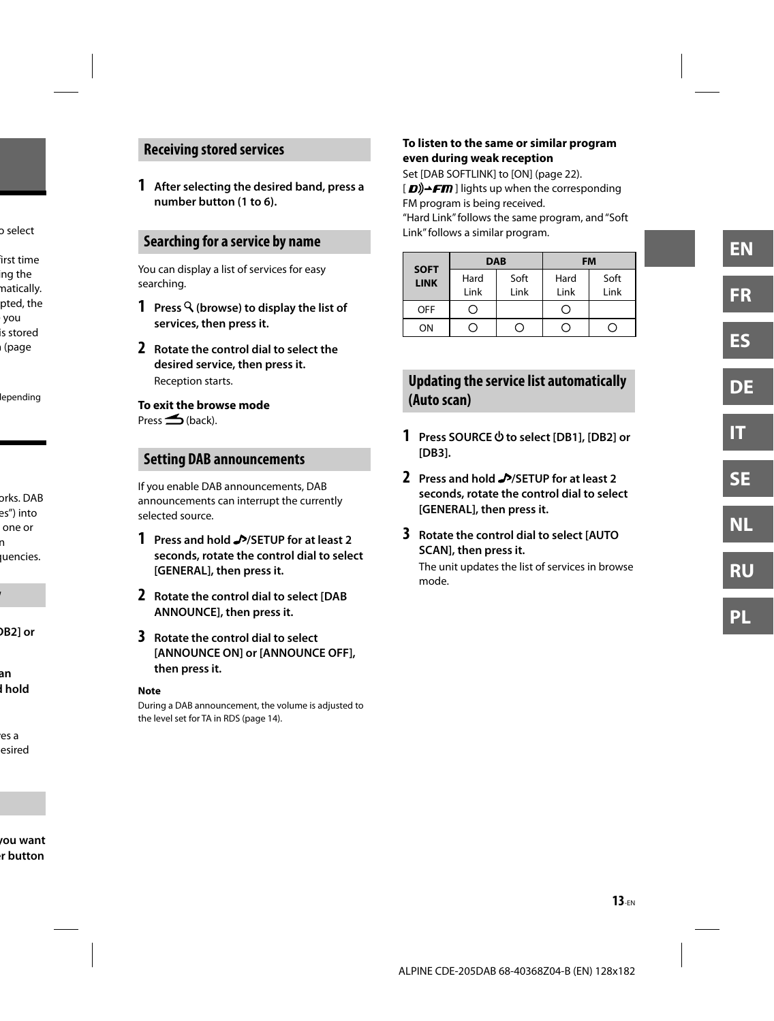### **Receiving stored services**

**1 After selecting the desired band, press a number button (1 to 6).**

### **Searching for a service by name**

You can display a list of services for easy searching.

- **1 Press (browse) to display the list of services, then press it.**
- **2 Rotate the control dial to select the desired service, then press it.** Reception starts.

### **To exit the browse mode**

 $Pres \nightharpoonup$  (back).

### **Setting DAB announcements**

If you enable DAB announcements, DAB announcements can interrupt the currently selected source.

- **1 Press and hold /SETUP for at least 2 seconds, rotate the control dial to select [GENERAL], then press it.**
- **2 Rotate the control dial to select [DAB ANNOUNCE], then press it.**
- **3 Rotate the control dial to select [ANNOUNCE ON] or [ANNOUNCE OFF], then press it.**

#### **Note**

During a DAB announcement, the volume is adjusted to the level set for TA in RDS (page 14).

#### **To listen to the same or similar program even during weak reception**

Set [DAB SOFTLINK] to [ON] (page 22).

 $\langle \mathbf{D} \rangle$   $\rightarrow$  FM | lights up when the corresponding FM program is being received.

"Hard Link" follows the same program, and "Soft Link" follows a similar program.

| <b>SOFT</b> | <b>DAB</b> |      | <b>FM</b> |      |
|-------------|------------|------|-----------|------|
| <b>LINK</b> | Hard       | Soft | Hard      | Soft |
|             | Link       | Link | Link      | Link |
| <b>OFF</b>  | - 1        |      | Ö         |      |
| ON          |            |      |           |      |

# **Updating the service list automatically (Auto scan)**

- **1 Press SOURCE to select [DB1], [DB2] or [DB3].**
- **2 Press and hold /SETUP for at least 2 seconds, rotate the control dial to select [GENERAL], then press it.**
- **3 Rotate the control dial to select [AUTO SCAN], then press it.**

The unit updates the list of services in browse mode.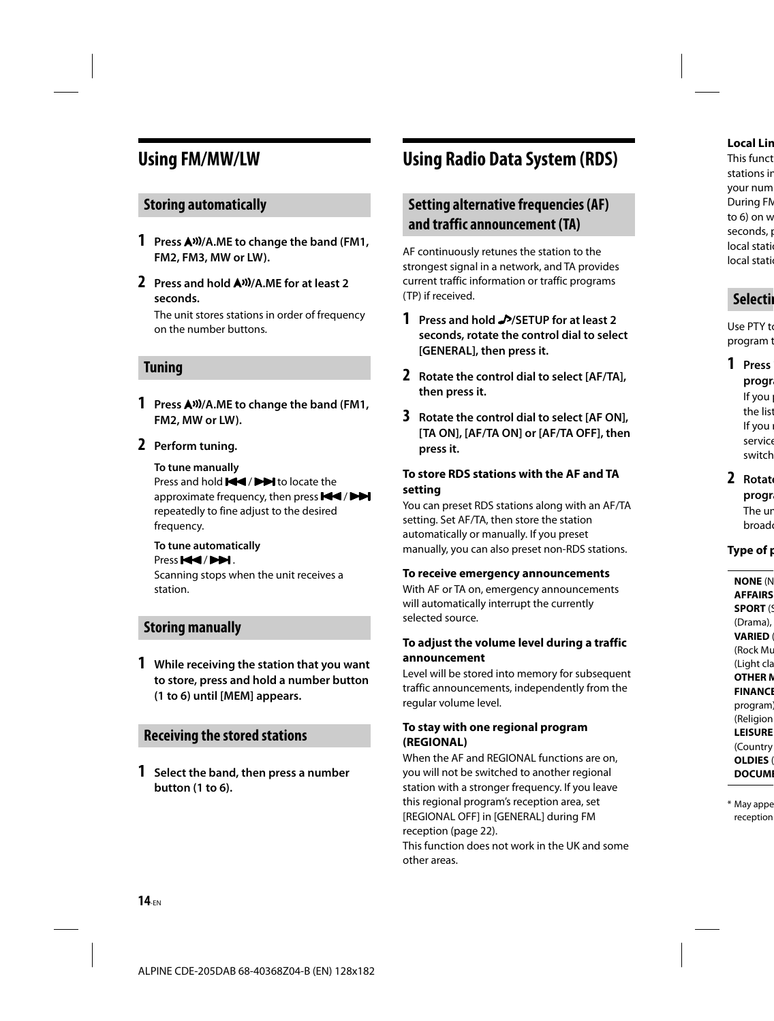# **Using FM/MW/LW**

### **Storing automatically**

- **1 Press /A.ME to change the band (FM1, FM2, FM3, MW or LW).**
- **2 Press and hold /A.ME for at least 2 seconds.**

The unit stores stations in order of frequency on the number buttons.

#### **Tuning**

- **1 Press /A.ME to change the band (FM1, FM2, MW or LW).**
- **2 Perform tuning.**

#### **To tune manually**

Press and hold  $\blacktriangleleft$  /  $\blacktriangleright$  to locate the approximate frequency, then press  $\blacktriangleleft$  /  $\blacktriangleright$ repeatedly to fine adjust to the desired frequency.

# **To tune automatically**

Press **H**<sup>4</sup>/PH.

Scanning stops when the unit receives a station.

### **Storing manually**

**1 While receiving the station that you want to store, press and hold a number button (1 to 6) until [MEM] appears.**

### **Receiving the stored stations**

**1 Select the band, then press a number button (1 to 6).**

# **Using Radio Data System (RDS)**

## **Setting alternative frequencies (AF) and traffic announcement (TA)**

AF continuously retunes the station to the strongest signal in a network, and TA provides current traffic information or traffic programs (TP) if received.

- **1 Press and hold /SETUP for at least 2 seconds, rotate the control dial to select [GENERAL], then press it.**
- **2 Rotate the control dial to select [AF/TA], then press it.**
- **3 Rotate the control dial to select [AF ON], [TA ON], [AF/TA ON] or [AF/TA OFF], then press it.**

#### **To store RDS stations with the AF and TA setting**

You can preset RDS stations along with an AF/TA setting. Set AF/TA, then store the station automatically or manually. If you preset manually, you can also preset non-RDS stations.

#### **To receive emergency announcements**

With AF or TA on, emergency announcements will automatically interrupt the currently selected source.

#### **To adjust the volume level during a traffic announcement**

Level will be stored into memory for subsequent traffic announcements, independently from the regular volume level.

#### **To stay with one regional program (REGIONAL)**

When the AF and REGIONAL functions are on, you will not be switched to another regional station with a stronger frequency. If you leave this regional program's reception area, set [REGIONAL OFF] in [GENERAL] during FM reception (page 22).

This function does not work in the UK and some other areas.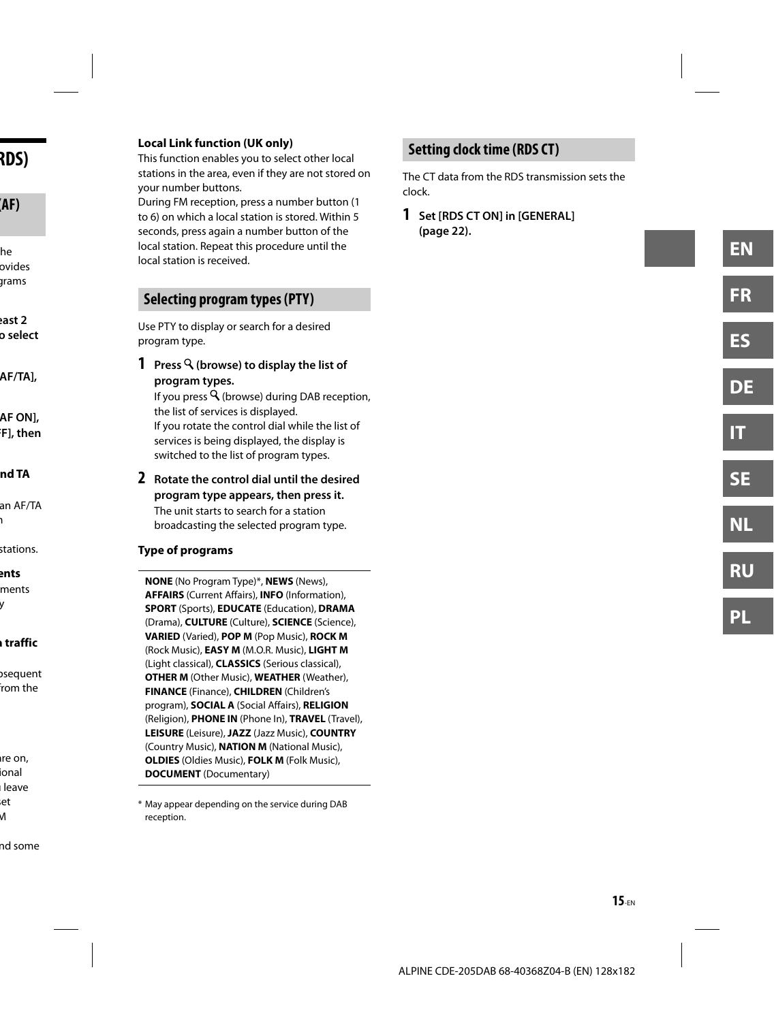#### **Local Link function (UK only)**

This function enables you to select other local stations in the area, even if they are not stored on your number buttons.

During FM reception, press a number button (1 to 6) on which a local station is stored. Within 5 seconds, press again a number button of the local station. Repeat this procedure until the local station is received.

### **Selecting program types (PTY)**

Use PTY to display or search for a desired program type.

**1 Press (browse) to display the list of program types.** 

If you press  $\mathsf Q$  (browse) during DAB reception, the list of services is displayed. If you rotate the control dial while the list of services is being displayed, the display is switched to the list of program types.

**2 Rotate the control dial until the desired program type appears, then press it.** The unit starts to search for a station broadcasting the selected program type.

#### **Type of programs**

**NONE** (No Program Type)\*, **NEWS** (News), **AFFAIRS** (Current Affairs), **INFO** (Information), **SPORT** (Sports), **EDUCATE** (Education), **DRAMA**  (Drama), **CULTURE** (Culture), **SCIENCE** (Science), **VARIED** (Varied), **POP M** (Pop Music), **ROCK M** (Rock Music), **EASY M** (M.O.R. Music), **LIGHT M** (Light classical), **CLASSICS** (Serious classical), **OTHER M** (Other Music), **WEATHER** (Weather), **FINANCE** (Finance), **CHILDREN** (Children's program), **SOCIAL A** (Social Affairs), **RELIGION** (Religion), **PHONE IN** (Phone In), **TRAVEL** (Travel), **LEISURE** (Leisure), **JAZZ** (Jazz Music), **COUNTRY** (Country Music), **NATION M** (National Music), **OLDIES** (Oldies Music), **FOLK M** (Folk Music), **DOCUMENT** (Documentary)

\* May appear depending on the service during DAB reception.

# **Setting clock time (RDS CT)**

The CT data from the RDS transmission sets the clock.

**1 Set [RDS CT ON] in [GENERAL] (page 22).**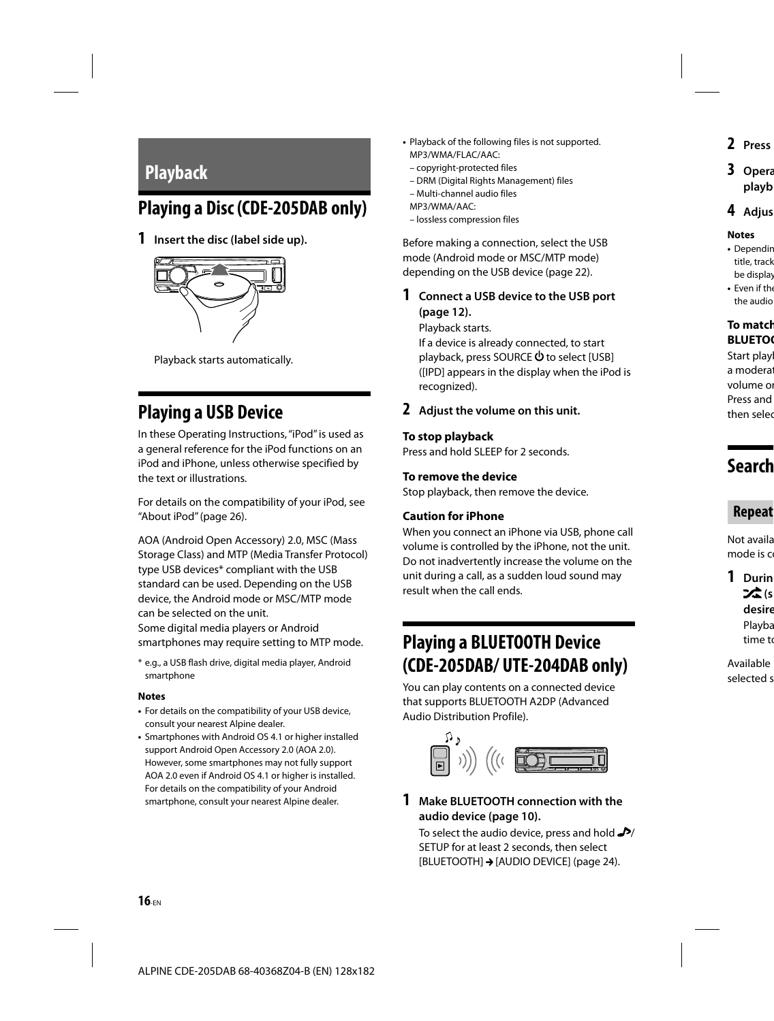# **Playback**

# **Playing a Disc (CDE-205DAB only)**

**1 Insert the disc (label side up).**



Playback starts automatically.

# **Playing a USB Device**

In these Operating Instructions, "iPod" is used as a general reference for the iPod functions on an iPod and iPhone, unless otherwise specified by the text or illustrations.

For details on the compatibility of your iPod, see "About iPod" (page 26).

AOA (Android Open Accessory) 2.0, MSC (Mass Storage Class) and MTP (Media Transfer Protocol) type USB devices\* compliant with the USB standard can be used. Depending on the USB device, the Android mode or MSC/MTP mode can be selected on the unit. Some digital media players or Android smartphones may require setting to MTP mode.

\* e.g., a USB flash drive, digital media player, Android smartphone

#### **Notes**

- For details on the compatibility of your USB device, consult your nearest Alpine dealer.
- Smartphones with Android OS 4.1 or higher installed support Android Open Accessory 2.0 (AOA 2.0). However, some smartphones may not fully support AOA 2.0 even if Android OS 4.1 or higher is installed. For details on the compatibility of your Android smartphone, consult your nearest Alpine dealer.
- Playback of the following files is not supported. MP3/WMA/FLAC/AAC:
	- copyright-protected files
	- DRM (Digital Rights Management) files
	- Multi-channel audio files
	- MP3/WMA/AAC:
	- lossless compression files

Before making a connection, select the USB mode (Android mode or MSC/MTP mode) depending on the USB device (page 22).

**1 Connect a USB device to the USB port (page 12).**

Playback starts.

If a device is already connected, to start playback, press SOURCE  $\Phi$  to select [USB] ([IPD] appears in the display when the iPod is recognized).

#### **2 Adjust the volume on this unit.**

#### **To stop playback**

Press and hold SLEEP for 2 seconds.

#### **To remove the device**

Stop playback, then remove the device.

#### **Caution for iPhone**

When you connect an iPhone via USB, phone call volume is controlled by the iPhone, not the unit. Do not inadvertently increase the volume on the unit during a call, as a sudden loud sound may result when the call ends.

# **Playing a BLUETOOTH Device (CDE-205DAB/ UTE-204DAB only)**

You can play contents on a connected device that supports BLUETOOTH A2DP (Advanced Audio Distribution Profile).



**1 Make BLUETOOTH connection with the audio device (page 10).**

To select the audio device, press and hold  $\rightarrow$ SETUP for at least 2 seconds, then select [BLUETOOTH] → [AUDIO DEVICE] (page 24).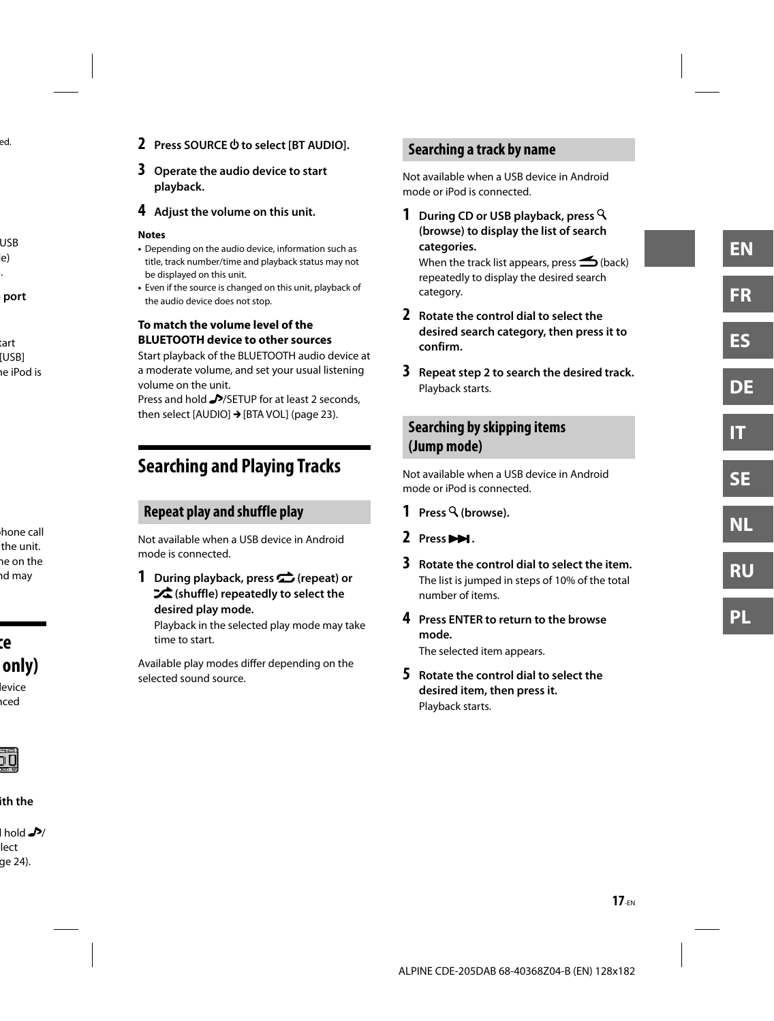- **2 Press SOURCE to select [BT AUDIO].**
- **3 Operate the audio device to start playback.**
- **4 Adjust the volume on this unit.**

#### **Notes**

- Depending on the audio device, information such as title, track number/time and playback status may not be displayed on this unit.
- Even if the source is changed on this unit, playback of the audio device does not stop.

#### **To match the volume level of the BLUETOOTH device to other sources**

Start playback of the BLUETOOTH audio device at a moderate volume, and set your usual listening volume on the unit.

Press and hold MSETUP for at least 2 seconds, then select [AUDIO]  $\rightarrow$  [BTA VOL] (page 23).

# **Searching and Playing Tracks**

# **Repeat play and shuffle play**

Not available when a USB device in Android mode is connected.

**1 During playback, press (repeat) or (shuffle) repeatedly to select the desired play mode.**

Playback in the selected play mode may take time to start.

Available play modes differ depending on the selected sound source.

# **Searching a track by name**

Not available when a USB device in Android mode or iPod is connected.

**1 During CD or USB playback, press (browse) to display the list of search categories.**

When the track list appears, press  $\blacktriangle$  (back) repeatedly to display the desired search category.

- **2 Rotate the control dial to select the desired search category, then press it to confirm.**
- **3 Repeat step 2 to search the desired track.** Playback starts.

# **Searching by skipping items (Jump mode)**

Not available when a USB device in Android mode or iPod is connected.

- **1 Press (browse).**
- **2 Press .**
- **3 Rotate the control dial to select the item.** The list is jumped in steps of 10% of the total number of items.
- **4 Press ENTER to return to the browse mode.** The selected item appears.

**5 Rotate the control dial to select the desired item, then press it.** Playback starts.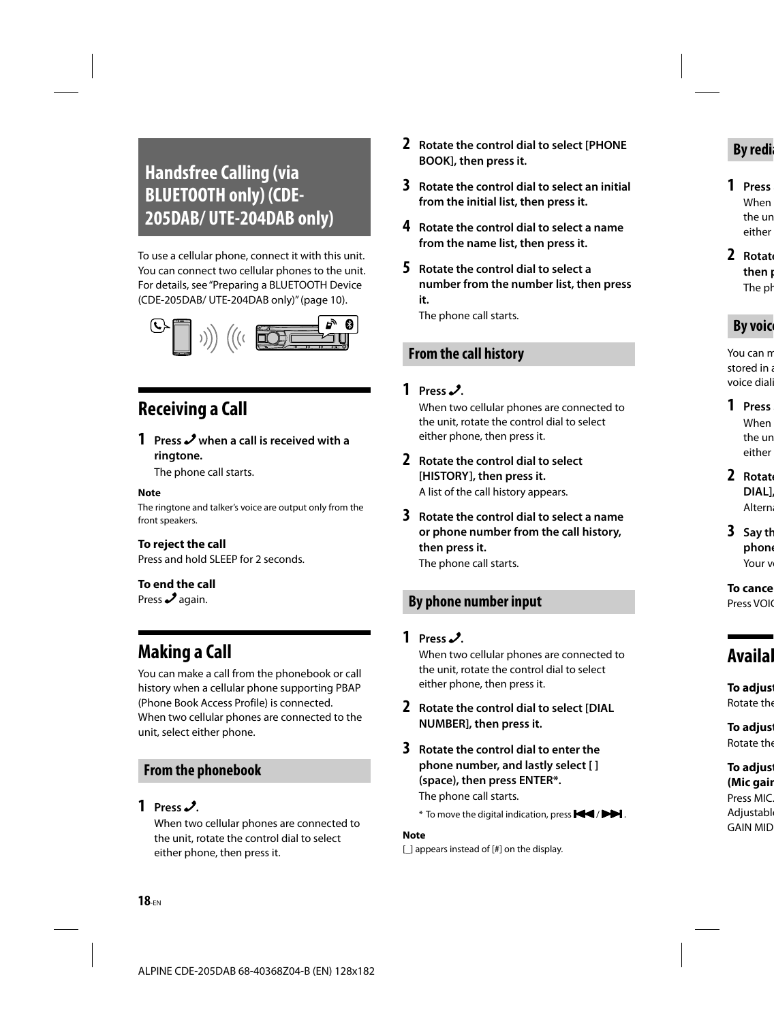# **Handsfree Calling (via BLUETOOTH only) (CDE-205DAB/ UTE-204DAB only)**

To use a cellular phone, connect it with this unit. You can connect two cellular phones to the unit. For details, see "Preparing a BLUETOOTH Device (CDE-205DAB/ UTE-204DAB only)" (page 10).



# **Receiving a Call**

# **1 Press when a call is received with a ringtone.**

The phone call starts.

#### **Note**

The ringtone and talker's voice are output only from the front speakers.

#### **To reject the call**

Press and hold SLEEP for 2 seconds.

#### **To end the call**

Press  $\lambda$  again.

# **Making a Call**

You can make a call from the phonebook or call history when a cellular phone supporting PBAP (Phone Book Access Profile) is connected. When two cellular phones are connected to the unit, select either phone.

### **From the phonebook**

### **1 Press .**

When two cellular phones are connected to the unit, rotate the control dial to select either phone, then press it.

- **2 Rotate the control dial to select [PHONE BOOK], then press it.**
- **3 Rotate the control dial to select an initial from the initial list, then press it.**
- **4 Rotate the control dial to select a name from the name list, then press it.**
- **5 Rotate the control dial to select a number from the number list, then press it.**

The phone call starts.

### **From the call history**

#### **1 Press .**

When two cellular phones are connected to the unit, rotate the control dial to select either phone, then press it.

**2 Rotate the control dial to select [HISTORY], then press it.** A list of the call history appears.

**3 Rotate the control dial to select a name or phone number from the call history, then press it.**

The phone call starts.

### **By phone number input**

#### **1 Press .**

When two cellular phones are connected to the unit, rotate the control dial to select either phone, then press it.

- **2 Rotate the control dial to select [DIAL NUMBER], then press it.**
- **3 Rotate the control dial to enter the phone number, and lastly select [ ] (space), then press ENTER\*.** The phone call starts.
	- $*$  To move the digital indication, press  $\blacktriangleleft$  /  $\blacktriangleright$  .

#### **Note**

[] appears instead of [#] on the display.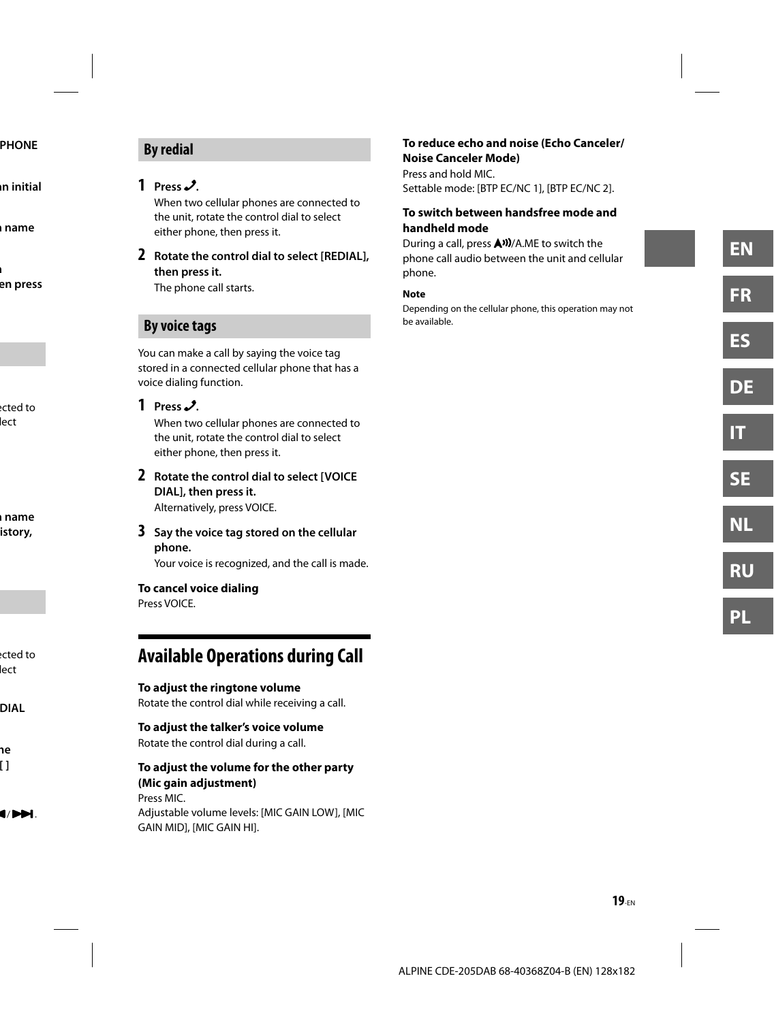# **By redial**

### **1 Press .**

When two cellular phones are connected to the unit, rotate the control dial to select either phone, then press it.

**2 Rotate the control dial to select [REDIAL], then press it.**

The phone call starts.

### **By voice tags**

You can make a call by saying the voice tag stored in a connected cellular phone that has a voice dialing function.

### **1 Press .**

When two cellular phones are connected to the unit, rotate the control dial to select either phone, then press it.

**2 Rotate the control dial to select [VOICE DIAL], then press it.** Alternatively, press VOICE.

**3 Say the voice tag stored on the cellular** 

#### **phone.**

Your voice is recognized, and the call is made.

#### **To cancel voice dialing**

Press VOICE.

# **Available Operations during Call**

#### **To adjust the ringtone volume**

Rotate the control dial while receiving a call.

#### **To adjust the talker's voice volume**

Rotate the control dial during a call.

#### **To adjust the volume for the other party (Mic gain adjustment)**

 Press MIC. Adjustable volume levels: [MIC GAIN LOW], [MIC GAIN MID], [MIC GAIN HI].

#### **To reduce echo and noise (Echo Canceler/ Noise Canceler Mode)**

Press and hold MIC. Settable mode: [BTP EC/NC 1], [BTP EC/NC 2].

#### **To switch between handsfree mode and handheld mode**

During a call, press  $\bigtriangleup$ <sup>3</sup>)/A.ME to switch the phone call audio between the unit and cellular phone.

#### **Note**

Depending on the cellular phone, this operation may not be available.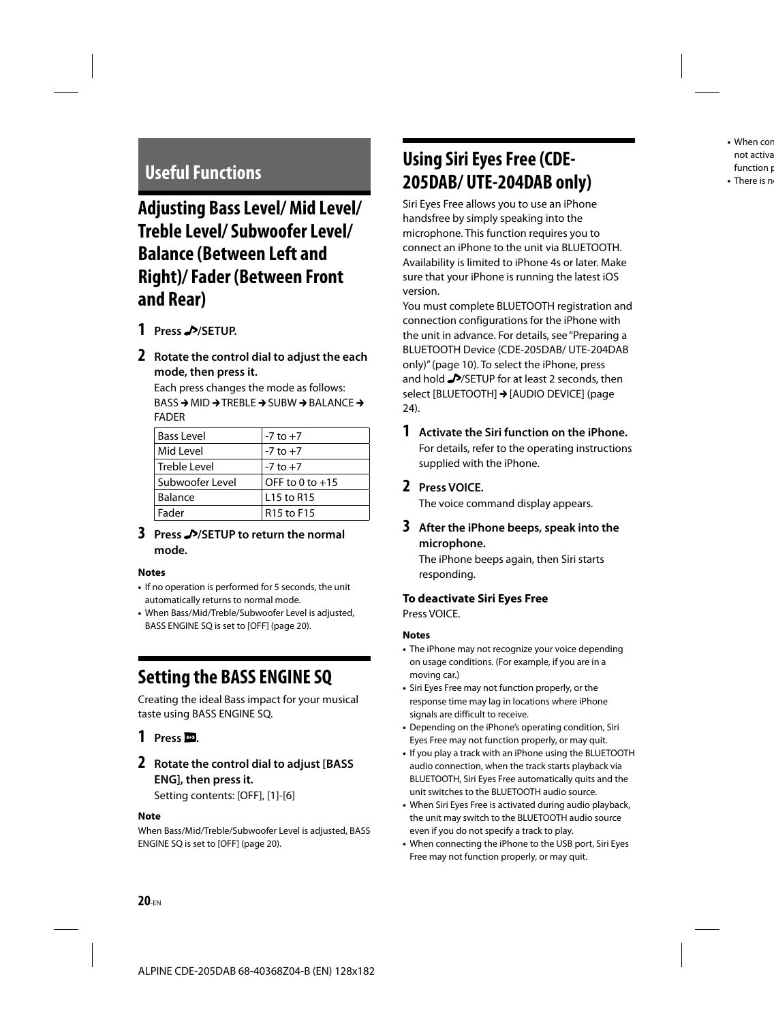# **Adjusting Bass Level/ Mid Level/ Treble Level/ Subwoofer Level/ Balance (Between Left and Right)/ Fader (Between Front and Rear)**

- **1 Press /SETUP.**
- **2 Rotate the control dial to adjust the each mode, then press it.**

Each press changes the mode as follows:  $BASS \rightarrow MID \rightarrow TREBLE \rightarrow SUBW \rightarrow BALANCE \rightarrow$ FADER

| <b>Bass Level</b> | $-7$ to $+7$                       |
|-------------------|------------------------------------|
| Mid Level         | $-7$ to $+7$                       |
| Treble Level      | $-7$ to $+7$                       |
| l Subwoofer Level | OFF to 0 to $+15$                  |
| Balance           | L <sub>15</sub> to R <sub>15</sub> |
| Fader             | R <sub>15</sub> to F <sub>15</sub> |

#### **3 Press /SETUP to return the normal mode.**

#### **Notes**

- If no operation is performed for 5 seconds, the unit automatically returns to normal mode.
- When Bass/Mid/Treble/Subwoofer Level is adjusted, BASS ENGINE SQ is set to [OFF] (page 20).

# **Setting the BASS ENGINE SQ**

Creating the ideal Bass impact for your musical taste using BASS ENGINE SQ.

### **1 Press .**

### **2 Rotate the control dial to adjust [BASS ENG], then press it.**

Setting contents: [OFF], [1]-[6]

#### **Note**

When Bass/Mid/Treble/Subwoofer Level is adjusted, BASS ENGINE SQ is set to [OFF] (page 20).

# Useful Functions<br>**205DAB/ UTE-204DAB only Using Siri Eyes Free (CDE-**

Siri Eyes Free allows you to use an iPhone handsfree by simply speaking into the microphone. This function requires you to connect an iPhone to the unit via BLUETOOTH. Availability is limited to iPhone 4s or later. Make sure that your iPhone is running the latest iOS version.

You must complete BLUETOOTH registration and connection configurations for the iPhone with the unit in advance. For details, see "Preparing a BLUETOOTH Device (CDE-205DAB/ UTE-204DAB only)" (page 10). To select the iPhone, press and hold **/>**/SETUP for at least 2 seconds, then select [BLUETOOTH] > [AUDIO DEVICE] (page 24).

**1 Activate the Siri function on the iPhone.** For details, refer to the operating instructions supplied with the iPhone.

### **2 Press VOICE.**

The voice command display appears.

**3 After the iPhone beeps, speak into the microphone.**

The iPhone beeps again, then Siri starts responding.

#### **To deactivate Siri Eyes Free**

Press VOICE.

#### **Notes**

- The iPhone may not recognize your voice depending on usage conditions. (For example, if you are in a moving car.)
- Siri Eyes Free may not function properly, or the response time may lag in locations where iPhone signals are difficult to receive.
- Depending on the iPhone's operating condition, Siri Eyes Free may not function properly, or may quit.
- If you play a track with an iPhone using the BLUETOOTH audio connection, when the track starts playback via BLUETOOTH, Siri Eyes Free automatically quits and the unit switches to the BLUETOOTH audio source.
- When Siri Eyes Free is activated during audio playback, the unit may switch to the BLUETOOTH audio source even if you do not specify a track to play.
- When connecting the iPhone to the USB port, Siri Eyes Free may not function properly, or may quit.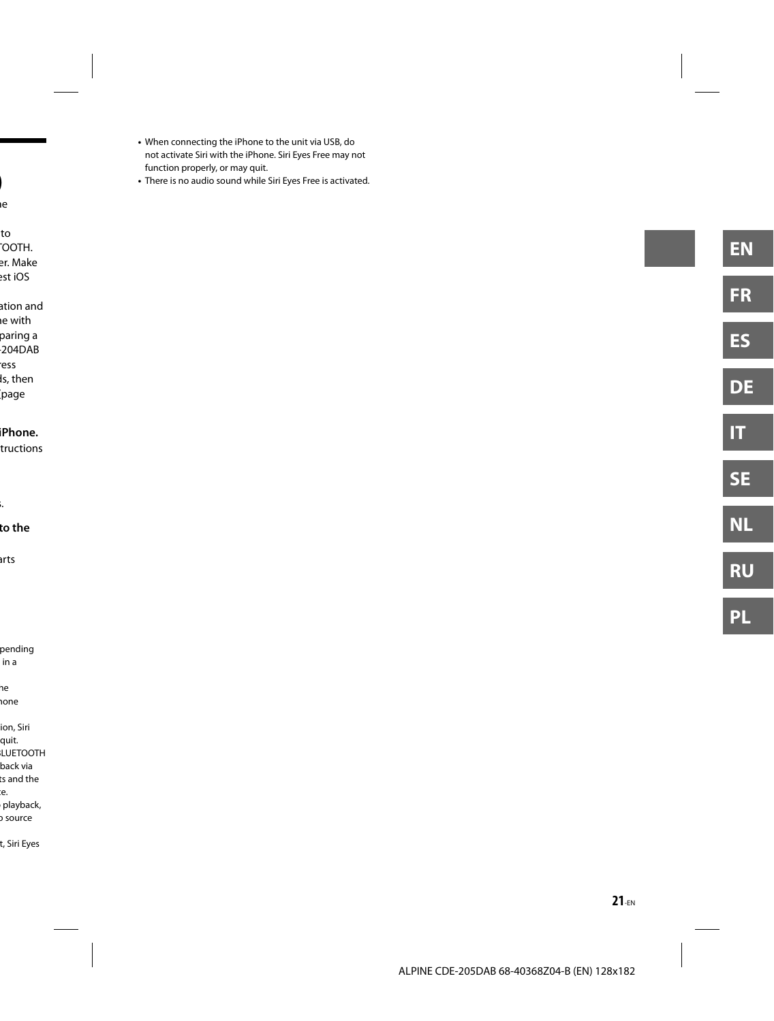- When connecting the iPhone to the unit via USB, do not activate Siri with the iPhone. Siri Eyes Free may not function properly, or may quit.
- There is no audio sound while Siri Eyes Free is activated. **)**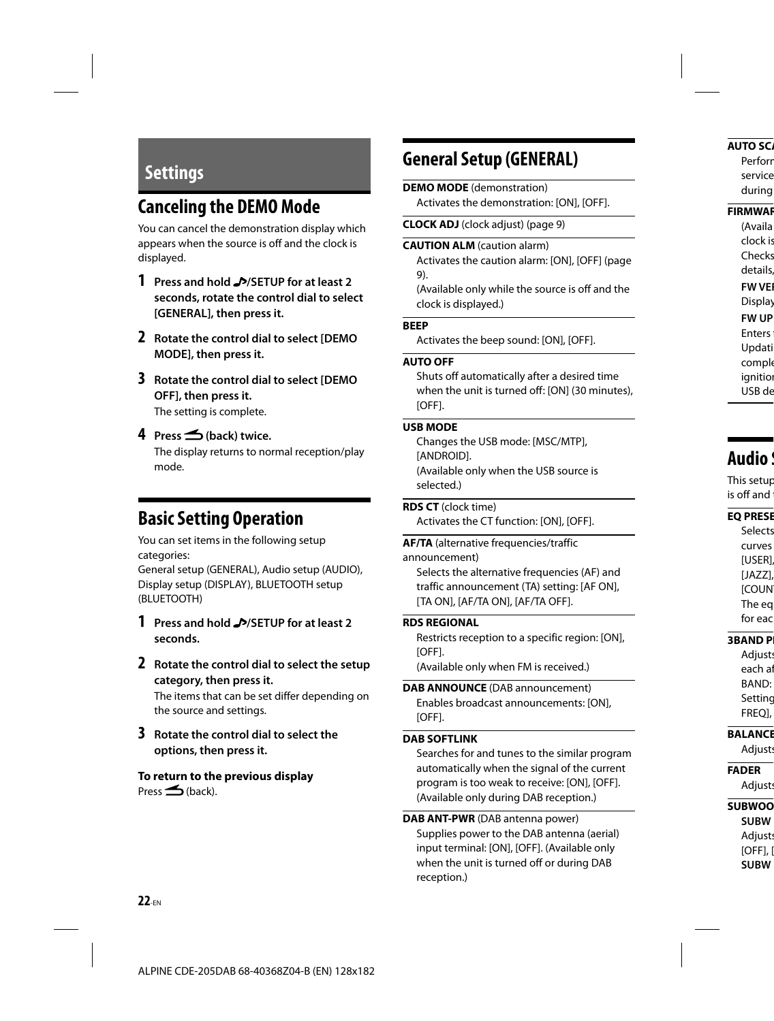# **Settings**

# **Canceling the DEMO Mode**

You can cancel the demonstration display which appears when the source is off and the clock is displayed.

- **1 Press and hold /SETUP for at least 2 seconds, rotate the control dial to select [GENERAL], then press it.**
- **2 Rotate the control dial to select [DEMO MODE], then press it.**
- **3 Rotate the control dial to select [DEMO OFF], then press it.** The setting is complete.
- **4 Press (back) twice.**

The display returns to normal reception/play mode.

# **Basic Setting Operation**

You can set items in the following setup categories:

General setup (GENERAL), Audio setup (AUDIO), Display setup (DISPLAY), BLUETOOTH setup (BLUETOOTH)

- **1 Press and hold /SETUP for at least 2 seconds.**
- **2 Rotate the control dial to select the setup category, then press it.**

The items that can be set differ depending on the source and settings.

**3 Rotate the control dial to select the options, then press it.**

**To return to the previous display**  $Press \triangleleft (back).$ 

# **General Setup (GENERAL)**

#### **DEMO MODE** (demonstration)

Activates the demonstration: [ON], [OFF].

**CLOCK ADJ** (clock adjust) (page 9)

#### **CAUTION ALM** (caution alarm)

Activates the caution alarm: [ON], [OFF] (page 9).

(Available only while the source is off and the clock is displayed.)

#### **BEEP**

Activates the beep sound: [ON], [OFF].

#### **AUTO OFF**

Shuts off automatically after a desired time when the unit is turned off: [ON] (30 minutes), [OFF].

#### **USB MODE**

Changes the USB mode: [MSC/MTP], [ANDROID]. (Available only when the USB source is selected.)

**RDS CT** (clock time) Activates the CT function: [ON], [OFF].

**AF/TA** (alternative frequencies/traffic announcement) Selects the alternative frequencies (AF) and traffic announcement (TA) setting: [AF ON], [TA ON], [AF/TA ON], [AF/TA OFF].

#### **RDS REGIONAL**

Restricts reception to a specific region: [ON], [OFF].

(Available only when FM is received.)

#### **DAB ANNOUNCE** (DAB announcement) Enables broadcast announcements: [ON], [OFF].

#### **DAB SOFTLINK**

Searches for and tunes to the similar program automatically when the signal of the current program is too weak to receive: [ON], [OFF]. (Available only during DAB reception.)

 **DAB ANT-PWR** (DAB antenna power)

Supplies power to the DAB antenna (aerial) input terminal: [ON], [OFF]. (Available only when the unit is turned off or during DAB reception.)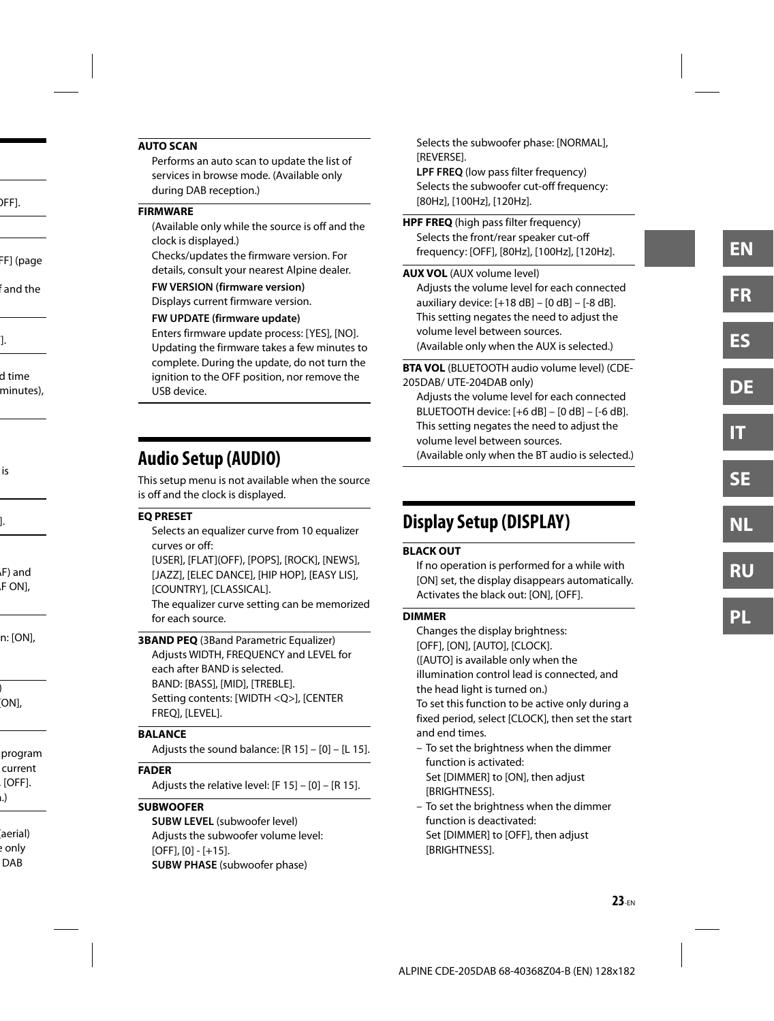#### **AUTO SCAN**

Performs an auto scan to update the list of services in browse mode. (Available only during DAB reception.)

#### **FIRMWARE**

(Available only while the source is off and the clock is displayed.)

Checks/updates the firmware version. For details, consult your nearest Alpine dealer.

#### **FW VERSION (firmware version)**

Displays current firmware version.

#### **FW UPDATE (firmware update)**

Enters firmware update process: [YES], [NO]. Updating the firmware takes a few minutes to complete. During the update, do not turn the ignition to the OFF position, nor remove the USB device.

# **Audio Setup (AUDIO)**

This setup menu is not available when the source is off and the clock is displayed.

#### **EQ PRESET**

Selects an equalizer curve from 10 equalizer curves or off:

[USER], [FLAT](OFF), [POPS], [ROCK], [NEWS], [JAZZ], [ELEC DANCE], [HIP HOP], [EASY LIS], [COUNTRY], [CLASSICAL].

The equalizer curve setting can be memorized for each source.

**3BAND PEQ** (3Band Parametric Equalizer) Adjusts WIDTH, FREQUENCY and LEVEL for each after BAND is selected. BAND: [BASS], [MID], [TREBLE]. Setting contents: [WIDTH <Q>], [CENTER FREQ], [LEVEL].

#### **BALANCE**

Adjusts the sound balance: [R 15] – [0] – [L 15].

#### **FADER**

Adjusts the relative level: [F 15] – [0] – [R 15].

#### **SUBWOOFER**

**SUBW LEVEL** (subwoofer level) Adjusts the subwoofer volume level: [OFF], [0] - [+15]. **SUBW PHASE** (subwoofer phase)

Selects the subwoofer phase: [NORMAL], [REVERSE].

**LPF FREO** (low pass filter frequency) Selects the subwoofer cut-off frequency: [80Hz], [100Hz], [120Hz].

**HPF FREQ** (high pass filter frequency) Selects the front/rear speaker cut-off frequency: [OFF], [80Hz], [100Hz], [120Hz].

#### **AUX VOL** (AUX volume level)

Adjusts the volume level for each connected auxiliary device: [+18 dB] – [0 dB] – [-8 dB]. This setting negates the need to adjust the volume level between sources. (Available only when the AUX is selected.)

 **BTA VOL** (BLUETOOTH audio volume level) (CDE-205DAB/ UTE-204DAB only)

Adjusts the volume level for each connected BLUETOOTH device: [+6 dB] – [0 dB] – [-6 dB]. This setting negates the need to adjust the volume level between sources.

(Available only when the BT audio is selected.)

# **Display Setup (DISPLAY)**

#### **BLACK OUT**

If no operation is performed for a while with [ON] set, the display disappears automatically. Activates the black out: [ON], [OFF].

#### **DIMMER**

Changes the display brightness: [OFF], [ON], [AUTO], [CLOCK]. ([AUTO] is available only when the illumination control lead is connected, and the head light is turned on.)

To set this function to be active only during a fixed period, select [CLOCK], then set the start and end times.

- To set the brightness when the dimmer function is activated: Set [DIMMER] to [ON], then adjust [BRIGHTNESS].
- To set the brightness when the dimmer function is deactivated: Set [DIMMER] to [OFF], then adjust [BRIGHTNESS].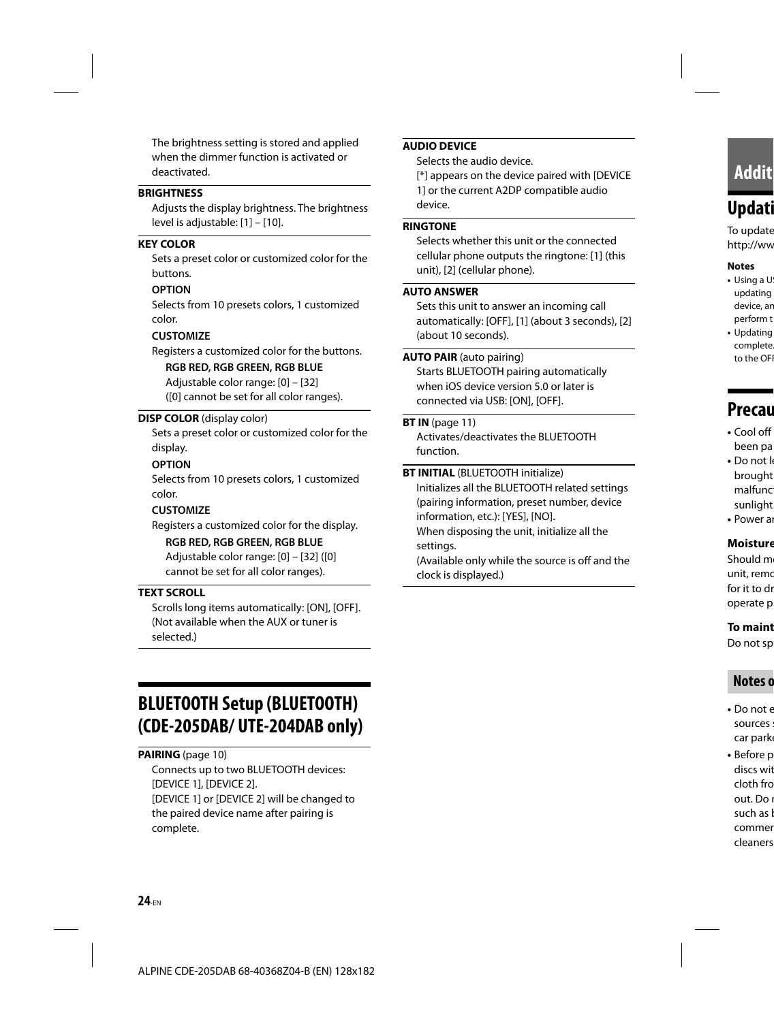The brightness setting is stored and applied when the dimmer function is activated or deactivated.

#### **BRIGHTNESS**

Adjusts the display brightness. The brightness level is adjustable: [1] – [10].

#### **KEY COLOR**

Sets a preset color or customized color for the buttons.

#### **OPTION**

Selects from 10 presets colors, 1 customized color.

#### **CUSTOMIZE**

Registers a customized color for the buttons.

#### **RGB RED, RGB GREEN, RGB BLUE**

Adjustable color range: [0] – [32] ([0] cannot be set for all color ranges).

#### **DISP COLOR** (display color)

Sets a preset color or customized color for the display.

#### **OPTION**

Selects from 10 presets colors, 1 customized color.

#### **CUSTOMIZE**

Registers a customized color for the display.

#### **RGB RED, RGB GREEN, RGB BLUE**

Adjustable color range: [0] – [32] ([0] cannot be set for all color ranges).

#### **TEXT SCROLL**

Scrolls long items automatically: [ON], [OFF]. (Not available when the AUX or tuner is selected.)

# **BLUETOOTH Setup (BLUETOOTH) (CDE-205DAB/ UTE-204DAB only)**

**PAIRING** (page 10)

Connects up to two BLUETOOTH devices: [DEVICE 1], [DEVICE 2]. [DEVICE 1] or [DEVICE 2] will be changed to the paired device name after pairing is complete.

#### **AUDIO DEVICE**

Selects the audio device.

[\*] appears on the device paired with [DEVICE 1] or the current A2DP compatible audio device .

#### **RINGTONE**

Selects whether this unit or the connected cellular phone outputs the ringtone: [1] (this unit), [2] (cellular phone).

#### **AUTO ANSWER**

Sets this unit to answer an incoming call automatically: [OFF], [1] (about 3 seconds), [2] (about 10 seconds) .

#### **AUTO PAIR** (auto pairing)

Starts BLUETOOTH pairing automatically when iOS device version 5.0 or later is connected via USB: [ON], [OFF].

#### **BT IN** (page 11)

Activates/deactivates the BLUETOOTH function.

#### **BT INITIAL** (BLUETOOTH initialize)

Initializes all the BLUETOOTH related settings (pairing information, preset number, device information, etc.): [YES], [NO].

When disposing the unit, initialize all the settings.

(Available only while the source is off and the clock is displayed.)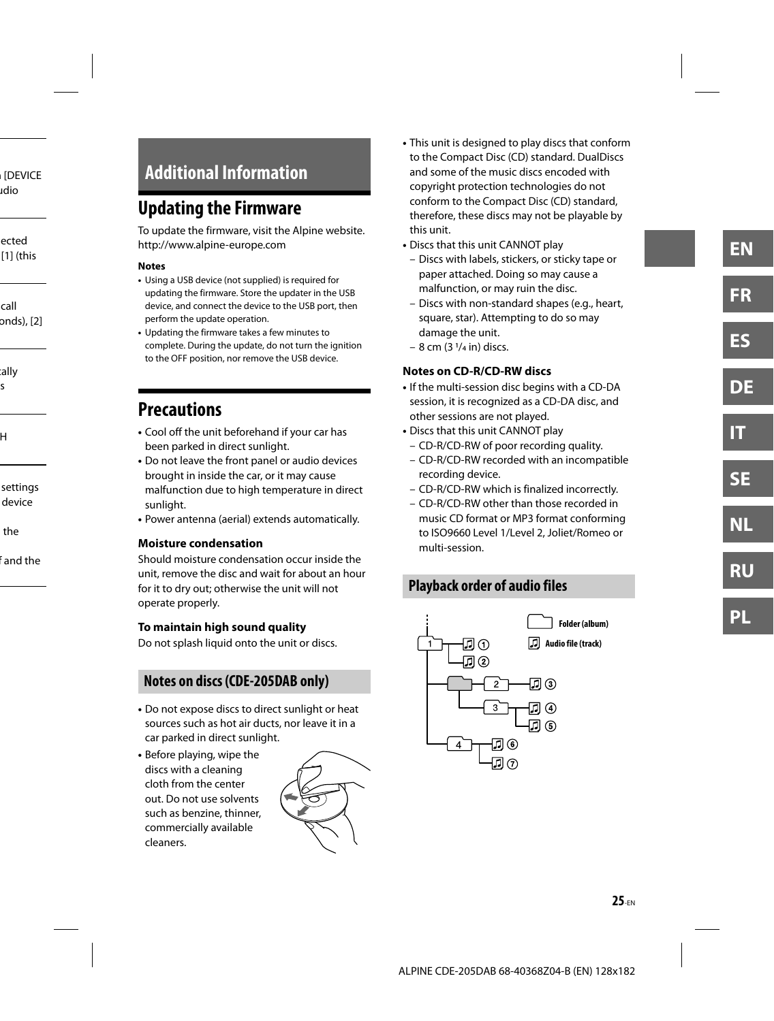# **Additional Information**

# **Updating the Firmware**

To update the firmware, visit the Alpine website. http://www.alpine-europe.com

#### **Notes**

- Using a USB device (not supplied) is required for updating the firmware. Store the updater in the USB device, and connect the device to the USB port, then perform the update operation.
- Updating the firmware takes a few minutes to complete. During the update, do not turn the ignition to the OFF position, nor remove the USB device.

# **Precautions**

- Cool off the unit beforehand if your car has been parked in direct sunlight.
- Do not leave the front panel or audio devices brought in inside the car, or it may cause malfunction due to high temperature in direct sunlight.
- Power antenna (aerial) extends automatically.

#### **Moisture condensation**

Should moisture condensation occur inside the unit, remove the disc and wait for about an hour for it to dry out; otherwise the unit will not operate properly.

#### **To maintain high sound quality**

Do not splash liquid onto the unit or discs.

### **Notes on discs (CDE-205DAB only)**

- Do not expose discs to direct sunlight or heat sources such as hot air ducts, nor leave it in a car parked in direct sunlight.
- Before playing, wipe the discs with a cleaning cloth from the center out. Do not use solvents such as benzine, thinner, commercially available cleaners.



- This unit is designed to play discs that conform to the Compact Disc (CD) standard. DualDiscs and some of the music discs encoded with copyright protection technologies do not conform to the Compact Disc (CD) standard, therefore, these discs may not be playable by this unit.
- Discs that this unit CANNOT play
	- Discs with labels, stickers, or sticky tape or paper attached. Doing so may cause a malfunction, or may ruin the disc.
	- Discs with non-standard shapes (e.g., heart, square, star). Attempting to do so may damage the unit.
	- $-8$  cm  $(3 \frac{1}{4}$  in) discs.

#### **Notes on CD-R/CD-RW discs**

- If the multi-session disc begins with a CD-DA session, it is recognized as a CD-DA disc, and other sessions are not played.
- Discs that this unit CANNOT play
	- CD-R/CD-RW of poor recording quality.
	- CD-R/CD-RW recorded with an incompatible recording device.
	- CD-R/CD-RW which is finalized incorrectly.
	- CD-R/CD-RW other than those recorded in music CD format or MP3 format conforming to ISO9660 Level 1/Level 2, Joliet/Romeo or multi-session.

# **Playback order of audio files**

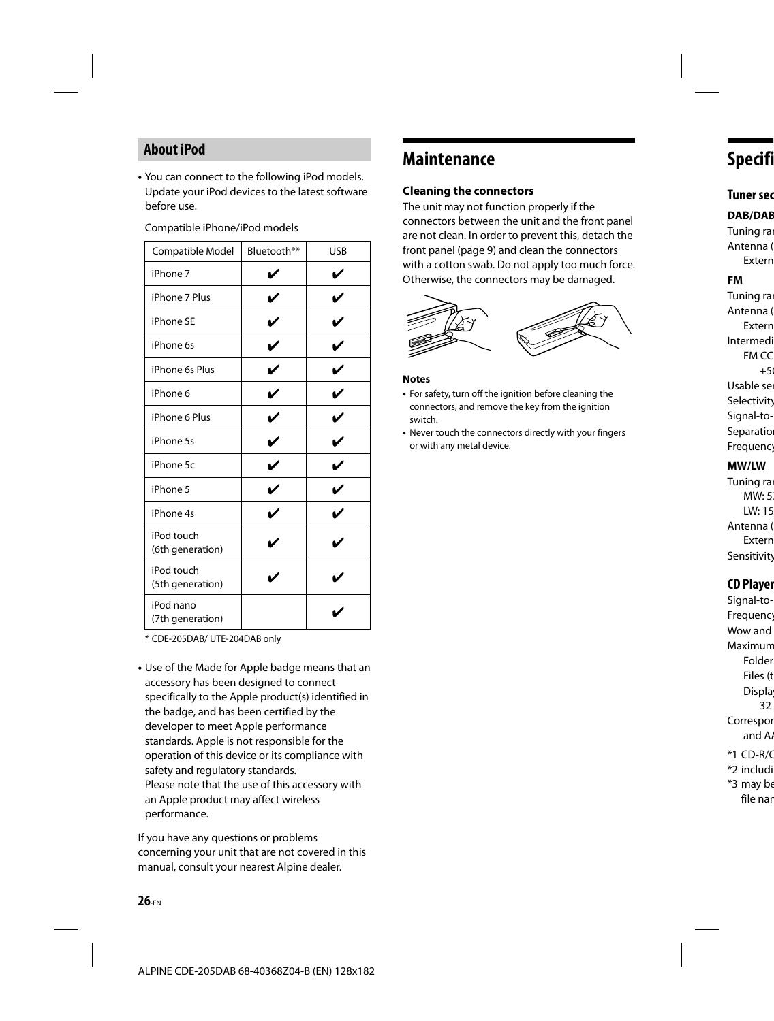### **About iPod**

**•** You can connect to the following iPod models. Update your iPod devices to the latest software before use.

|  | Compatible iPhone/iPod models |  |
|--|-------------------------------|--|
|--|-------------------------------|--|

| Compatible Model               | Bluetooth <sup>®*</sup> | USB |
|--------------------------------|-------------------------|-----|
| iPhone 7                       |                         | ✓   |
| iPhone 7 Plus                  | v                       | v   |
| iPhone SE                      |                         |     |
| iPhone 6s                      | ✓                       | V   |
| iPhone 6s Plus                 | V                       | V   |
| iPhone 6                       |                         | ✓   |
| iPhone 6 Plus                  | ✓                       | V   |
| iPhone 5s                      | ✓                       | V   |
| iPhone 5c                      | ✔                       | V   |
| iPhone 5                       | ✓                       | V   |
| iPhone 4s                      | ✓                       | ✓   |
| iPod touch<br>(6th generation) |                         |     |
| iPod touch<br>(5th generation) |                         |     |
| iPod nano<br>(7th generation)  |                         |     |

\* CDE-205DAB/ UTE-204DAB only

**•** Use of the Made for Apple badge means that an accessory has been designed to connect specifically to the Apple product(s) identified in the badge, and has been certified by the developer to meet Apple performance standards. Apple is not responsible for the operation of this device or its compliance with safety and regulatory standards. Please note that the use of this accessory with an Apple product may affect wireless performance.

If you have any questions or problems concerning your unit that are not covered in this manual, consult your nearest Alpine dealer.

# **Maintenance**

#### **Clea ning the connectors**

The unit may not function properly if the connectors between the unit and the front panel are not clean. In order to prevent this, detach the front panel (page 9) and clean the connectors with a cotton swab. Do not apply too much force. Otherwise, the connectors may be damaged.



#### **Notes**

- For safety, turn off the ignition before cleaning the connectors, and remove the key from the ignition switch.
- Never touch the connectors directly with your fingers or with any metal device.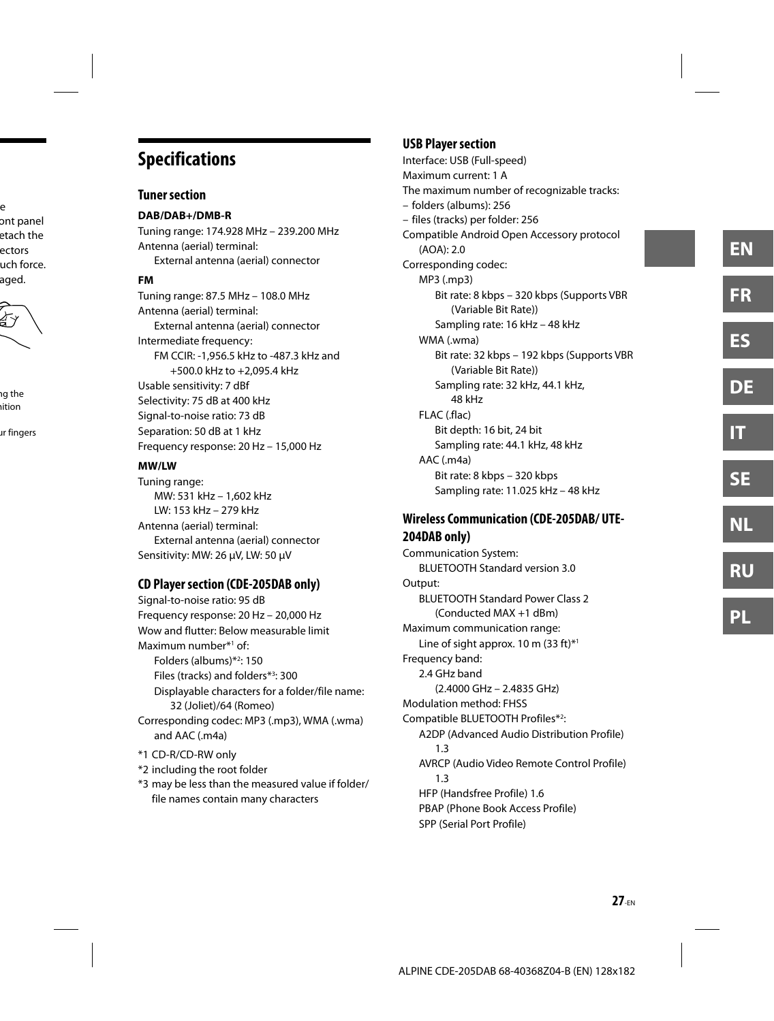# **Specifications**

#### **Tuner section**

**DAB/DAB+/DMB-R** Tuning range: 174.928 MHz – 239.200 MHz Antenna (aerial) terminal: External antenna (aerial) connector

#### **FM**

Tuning range: 87.5 MHz – 108.0 MHz Antenna (aerial) terminal: External antenna (aerial) connector Intermediate frequency: FM CCIR: -1,956.5 kHz to -487.3 kHz and +500.0 kHz to +2,095.4 kHz Usable sensitivity: 7 dBf Selectivity: 75 dB at 400 kHz Signal-to-noise ratio: 73 dB Separation: 50 dB at 1 kHz Frequency response: 20 Hz – 15,000 Hz

#### **MW/LW**

Tuning range: MW: 531 kHz – 1,602 kHz LW: 153 kHz – 279 kHz Antenna (aerial) terminal: External antenna (aerial) connector Sensitivity: MW: 26 μV, LW: 50 μV

### **CD Player section (CDE-205DAB only)**

Signal-to-noise ratio: 95 dB Frequency response: 20 Hz – 20,000 Hz Wow and flutter: Below measurable limit Maximum number\*1 of: Folders (albums)\*2 : 150 Files (tracks) and folders\*3 : 300 Displayable characters for a folder/file name: 32 (Joliet)/64 (Romeo) Corresponding codec: MP3 (.mp3), WMA (.wma) and AAC (.m4a) \*1 CD-R/CD-RW only \*2 including the root folder

\*3 may be less than the measured value if folder/ file names contain many characters

### **USB Player section**

Interface: USB (Full-speed) Maximum current: 1 A The maximum number of recognizable tracks: – folders (albums): 256 – files (tracks) per folder: 256 Compatible Android Open Accessory protocol (AOA): 2.0 Corresponding codec: MP3 (.mp3) Bit rate: 8 kbps – 320 kbps (Supports VBR (Variable Bit Rate)) Sampling rate: 16 kHz – 48 kHz WMA (.wma) Bit rate: 32 kbps – 192 kbps (Supports VBR (Variable Bit Rate)) Sampling rate: 32 kHz, 44.1 kHz, 48 kHz FLAC (.flac) Bit depth: 16 bit, 24 bit Sampling rate: 44.1 kHz, 48 kHz AAC (.m4a) Bit rate: 8 kbps – 320 kbps Sampling rate: 11.025 kHz – 48 kHz

### **Wireless Communication (CDE-205DAB/ UTE-204DAB only)**

Communication System: BLUETOOTH Standard version 3.0 Output: BLUETOOTH Standard Power Class 2 (Conducted MAX +1 dBm) Maximum communication range: Line of sight approx. 10 m (33 ft)\*1 Frequency band: 2.4 GHz band (2.4000 GHz – 2.4835 GHz) Modulation method: FHSS Compatible BLUETOOTH Profiles\*2 : A2DP (Advanced Audio Distribution Profile) 1.3 AVRCP (Audio Video Remote Control Profile) 1.3 HFP (Handsfree Profile) 1.6 PBAP (Phone Book Access Profile) SPP (Serial Port Profile)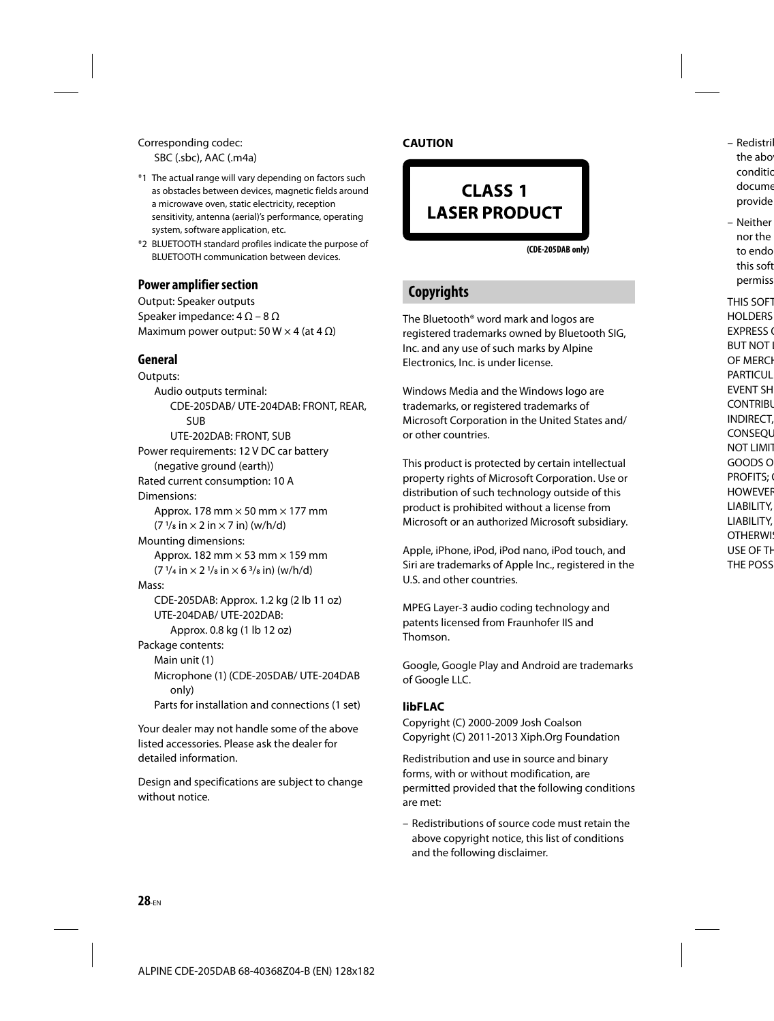#### Corresponding codec: SBC (.sbc), AAC (.m4a)

- \*1 The actual range will vary depending on factors such as obstacles between devices, magnetic fields around a microwave oven, static electricity, reception sensitivity, antenna (aerial)'s performance, operating system, software application, etc.
- \*2 BLUETOOTH standard profiles indicate the purpose of BLUETOOTH communication between devices.

#### **Power amplifier section**

Output: Speaker outputs Speaker impedance:  $4 \Omega - 8 \Omega$ Maximum power output: 50 W  $\times$  4 (at 4  $\Omega$ )

#### **General**

Outputs: Audio outputs terminal: CDE-205DAB/ UTE-204DAB: FRONT, REAR, SUB UTE-202DAB: FRONT, SUB Power requirements: 12 V DC car battery (negative ground (earth)) Rated current consumption: 10 A Dimensions: Approx. 178 mm  $\times$  50 mm  $\times$  177 mm  $(7 \frac{1}{8} \text{ in} \times 2 \text{ in} \times 7 \text{ in})$  (w/h/d) Mounting dimensions: Approx. 182 mm  $\times$  53 mm  $\times$  159 mm  $(7 \frac{1}{4}$  in  $\times$  2  $\frac{1}{8}$  in  $\times$  6  $\frac{3}{8}$  in) (w/h/d) Mass: CDE-205DAB: Approx. 1.2 kg (2 lb 11 oz) UTE-204DAB/ UTE-202DAB: Approx. 0.8 kg (1 lb 12 oz) Package contents: Main unit (1) Microphone (1) (CDE-205DAB/ UTE-204DAB only) Parts for installation and connections (1 set)

Your dealer may not handle some of the above listed accessories. Please ask the dealer for detailed information.

Design and specifications are subject to change without notice.

#### **CAUTION**

# CLASS<sub>1</sub> **LASER PRODUCT**

**(CDE-205DAB only)**

## **Copyrights**

The Bluetooth® word mark and logos are registered trademarks owned by Bluetooth SIG, Inc. and any use of such marks by Alpine Electronics, Inc. is under license.

Windows Media and the Windows logo are trademarks, or registered trademarks of Microsoft Corporation in the United States and/ or other countries.

This product is protected by certain intellectual property rights of Microsoft Corporation. Use or distribution of such technology outside of this product is prohibited without a license from Microsoft or an authorized Microsoft subsidiary.

Apple, iPhone, iPod, iPod nano, iPod touch, and Siri are trademarks of Apple Inc., registered in the U.S. and other countries.

MPEG Layer-3 audio coding technology and patents licensed from Fraunhofer IIS and Thomson.

Google, Google Play and Android are trademarks of Google LLC.

#### **libFLAC**

Copyright (C) 2000-2009 Josh Coalson Copyright (C) 2011-2013 Xiph.Org Foundation

Redistribution and use in source and binary forms, with or without modification, are permitted provided that the following conditions are met:

– Redistributions of source code must retain the above copyright notice, this list of conditions and the following disclaimer.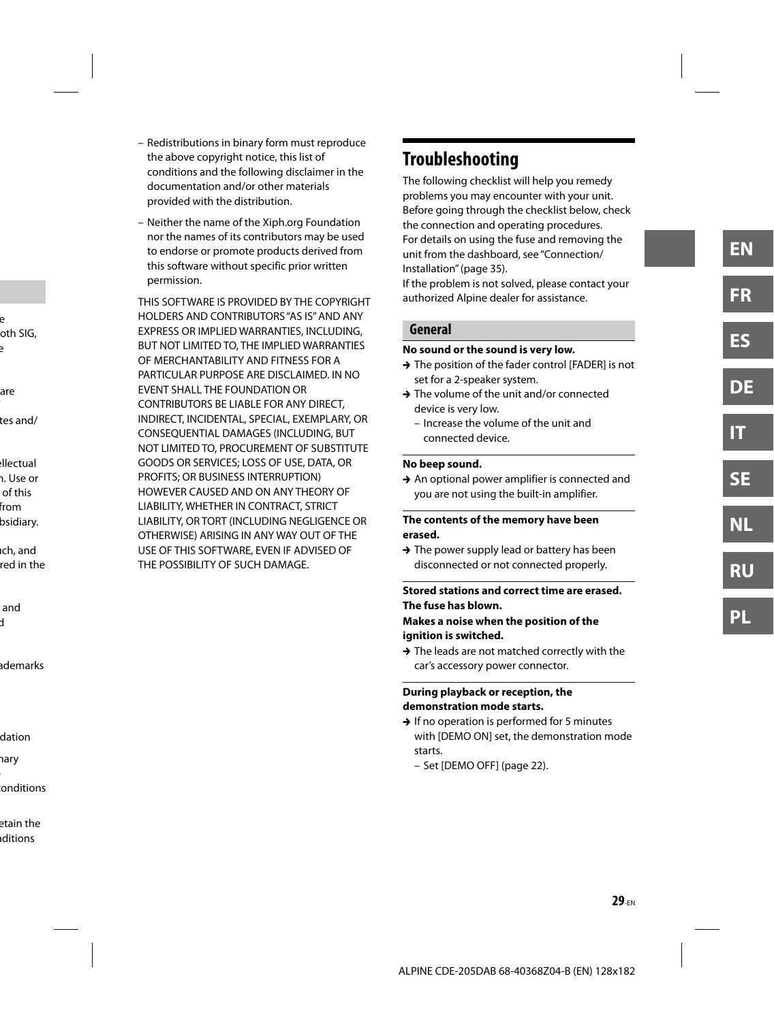- Redistributions in binary form must reproduce the above copyright notice, this list of conditions and the following disclaimer in the documentation and/or other materials provided with the distribution.
- Neither the name of the Xiph.org Foundation nor the names of its contributors may be used to endorse or promote products derived from this software without specific prior written permission.

THIS SOFTWARE IS PROVIDED BY THE COPYRIGHT HOLDERS AND CONTRIBUTORS "AS IS" AND ANY EXPRESS OR IMPLIED WARRANTIES, INCLUDING, BUT NOT LIMITED TO, THE IMPLIED WARRANTIES OF MERCHANTABILITY AND FITNESS FOR A PARTICULAR PURPOSE ARE DISCLAIMED. IN NO EVENT SHALL THE FOUNDATION OR CONTRIBUTORS BE LIABLE FOR ANY DIRECT, INDIRECT, INCIDENTAL, SPECIAL, EXEMPLARY, OR CONSEQUENTIAL DAMAGES (INCLUDING, BUT NOT LIMITED TO, PROCUREMENT OF SUBSTITUTE GOODS OR SERVICES; LOSS OF USE, DATA, OR PROFITS; OR BUSINESS INTERRUPTION) HOWEVER CAUSED AND ON ANY THEORY OF LIABILITY, WHETHER IN CONTRACT, STRICT LIABILITY, OR TORT (INCLUDING NEGLIGENCE OR OTHERWISE) ARISING IN ANY WAY OUT OF THE USE OF THIS SOFTWARE, EVEN IF ADVISED OF THE POSSIBILITY OF SUCH DAMAGE.

# **Troubleshooting**

The following checklist will help you remedy problems you may encounter with your unit. Before going through the checklist below, check the connection and operating procedures. For details on using the fuse and removing the unit from the dashboard, see "Connection/ Installation" (page 35).

If the problem is not solved, please contact your authorized Alpine dealer for assistance.

#### **General**

#### **No sound or the sound is very low.**

- → The position of the fader control [FADER] is not set for a 2-speaker system.
- → The volume of the unit and/or connected device is very low.
	- Increase the volume of the unit and connected device.

#### **No beep sound.**

 $\rightarrow$  An optional power amplifier is connected and you are not using the built-in amplifier.

#### **The contents of the memory have been erased.**

 $\rightarrow$  The power supply lead or battery has been disconnected or not connected properly.

#### **Stored stations and correct time are erased. The fuse has blown.**

#### **Makes a noise when the position of the ignition is switched.**

 $\rightarrow$  The leads are not matched correctly with the car's accessory power connector.

#### **During playback or reception, the demonstration mode starts.**

- $\rightarrow$  If no operation is performed for 5 minutes with [DEMO ON] set, the demonstration mode starts.
	- Set [DEMO OFF] (page 22).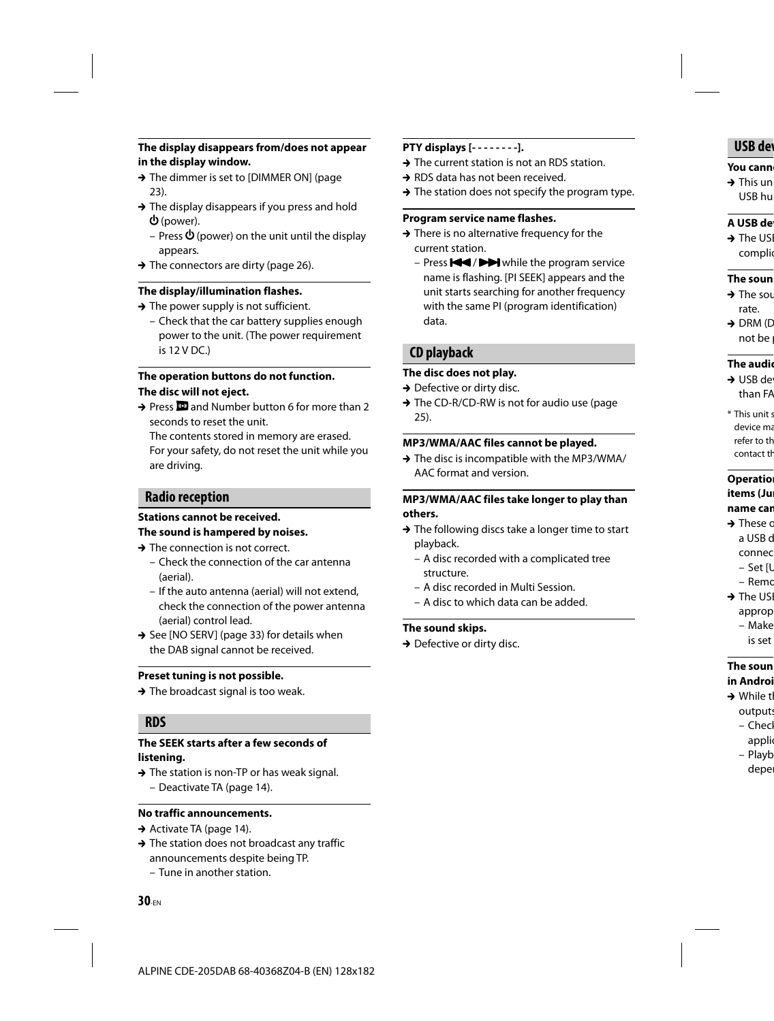#### **The display disappears from/does not appear in the display window.**

- → The dimmer is set to [DIMMER ON] (page 23).
- $\rightarrow$  The display disappears if you press and hold (power).
	- Press  $\Phi$  (power) on the unit until the display appears.
- $\rightarrow$  The connectors are dirty (page 26).

#### **The display/illumination flashes.**

- $\rightarrow$  The power supply is not sufficient.
	- Check that the car battery supplies enough power to the unit. (The power requirement is 12 V DC.)

#### **The operation buttons do not function. The disc will not eject.**

→ Press **D** and Number button 6 for more than 2 seconds to reset the unit.

The contents stored in memory are erased. For your safety, do not reset the unit while you are driving.

#### **Radio reception**

# **Stations cannot be received.**

## **The sound is hampered by noises.**

- $\rightarrow$  The connection is not correct.
	- Check the connection of the car antenna (aerial).
	- If the auto antenna (aerial) will not extend, check the connection of the power antenna (aerial) control lead.
- $\rightarrow$  See [NO SERV] (page 33) for details when the DAB signal cannot be received.

#### **Preset tuning is not possible.**

 $\rightarrow$  The broadcast signal is too weak.

#### **RDS**

#### **The SEEK starts after a few seconds of listening.**

 $\rightarrow$  The station is non-TP or has weak signal. – Deactivate TA (page 14).

#### **No traffic announcements.**

- $\rightarrow$  Activate TA (page 14).
- $\rightarrow$  The station does not broadcast any traffic announcements despite being TP.
	- Tune in another station.

#### **PTY displays [- - - - - - - -].**

- $\rightarrow$  The current station is not an RDS station.
- → RDS data has not been received.
- $\rightarrow$  The station does not specify the program type.

#### **Program service name flashes.**

- $\rightarrow$  There is no alternative frequency for the current station.
	- Press  $\blacktriangleleft$  /  $\blacktriangleright$  while the program service name is flashing. [PI SEEK] appears and the unit starts searching for another frequency with the same PI (program identification) data.

#### **CD playback**

#### **The disc does not play.**

- $\rightarrow$  Defective or dirty disc.
- → The CD-R/CD-RW is not for audio use (page 25).

#### **MP3/WMA/AAC files cannot be played.**

→ The disc is incompatible with the MP3/WMA/ AAC format and version.

#### **MP3/WMA/AAC files take longer to play than others.**

- $\rightarrow$  The following discs take a longer time to start playback.
	- A disc recorded with a complicated tree structure.
	- A disc recorded in Multi Session.
	- A disc to which data can be added.

#### **The sound skips.**

 $\rightarrow$  Defective or dirty disc.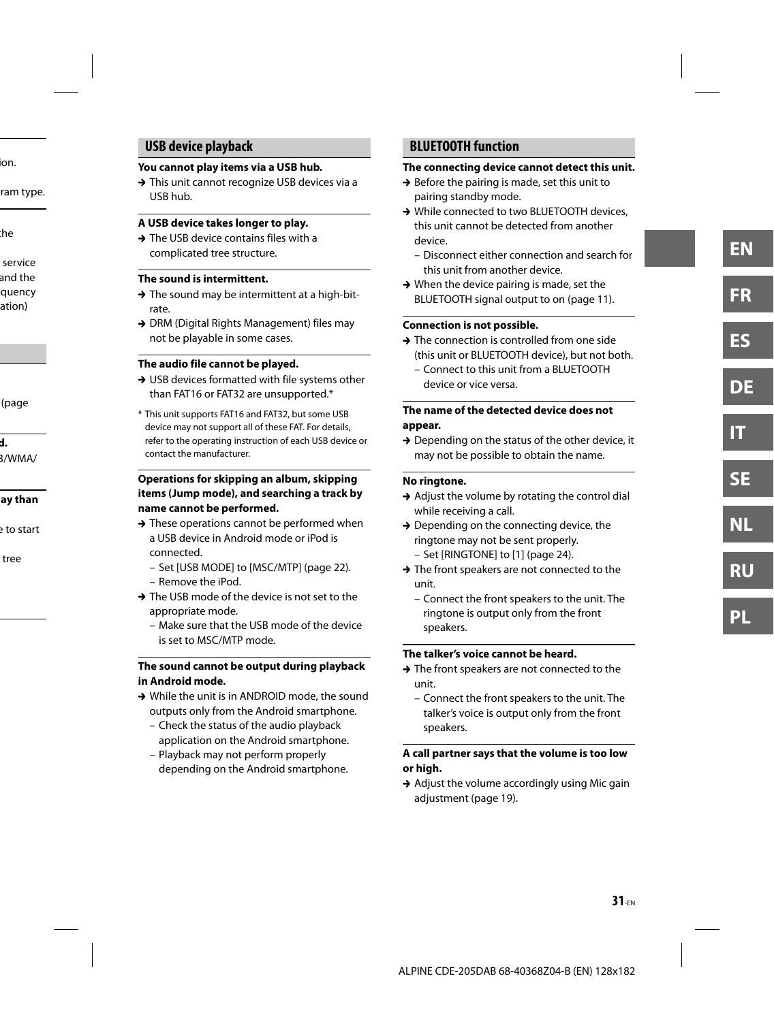### **USB device playback**

#### **You cannot play items via a USB hub.**

→ This unit cannot recognize USB devices via a USB hub.

#### **A USB device takes longer to play.**

 $\rightarrow$  The USB device contains files with a complicated tree structure.

#### **The sound is intermittent.**

- $\rightarrow$  The sound may be intermittent at a high-bitrate.
- → DRM (Digital Rights Management) files may not be playable in some cases.

#### **The audio file cannot be played.**

- → USB devices formatted with file systems other than FAT16 or FAT32 are unsupported.\*
- \* This unit supports FAT16 and FAT32, but some USB device may not support all of these FAT. For details, refer to the operating instruction of each USB device or contact the manufacturer.

#### **Operations for skipping an album, skipping items (Jump mode), and searching a track by name cannot be performed.**

- $\rightarrow$  These operations cannot be performed when a USB device in Android mode or iPod is connected.
	- Set [USB MODE] to [MSC/MTP] (page 22).
	- Remove the iPod.
- $\rightarrow$  The USB mode of the device is not set to the appropriate mode.
	- Make sure that the USB mode of the device is set to MSC/MTP mode.

#### **The sound cannot be output during playback in Android mode.**

- → While the unit is in ANDROID mode, the sound outputs only from the Android smartphone.
	- Check the status of the audio playback application on the Android smartphone.
	- Playback may not perform properly depending on the Android smartphone.

### **BLUETOOTH function**

#### **The connecting device cannot detect this unit.**

- $\rightarrow$  Before the pairing is made, set this unit to pairing standby mode.
- → While connected to two BLUETOOTH devices. this unit cannot be detected from another device.
	- Disconnect either connection and search for this unit from another device.
- $\rightarrow$  When the device pairing is made, set the BLUETOOTH signal output to on (page 11).

#### **Connection is not possible.**

- → The connection is controlled from one side (this unit or BLUETOOTH device), but not both.
	- Connect to this unit from a BLUETOOTH device or vice versa.

#### **The name of the detected device does not appear.**

 $\rightarrow$  Depending on the status of the other device, it may not be possible to obtain the name.

#### **No ringtone.**

- $\rightarrow$  Adjust the volume by rotating the control dial while receiving a call.
- $\rightarrow$  Depending on the connecting device, the ringtone may not be sent properly.
	- Set [RINGTONE] to [1] (page 24).
- → The front speakers are not connected to the unit.
	- Connect the front speakers to the unit. The ringtone is output only from the front speakers.

#### **The talker's voice cannot be heard.**

- → The front speakers are not connected to the unit.
	- Connect the front speakers to the unit. The talker's voice is output only from the front speakers.

#### **A call partner says that the volume is too low or high.**

 $\rightarrow$  Adjust the volume accordingly using Mic gain adjustment (page 19).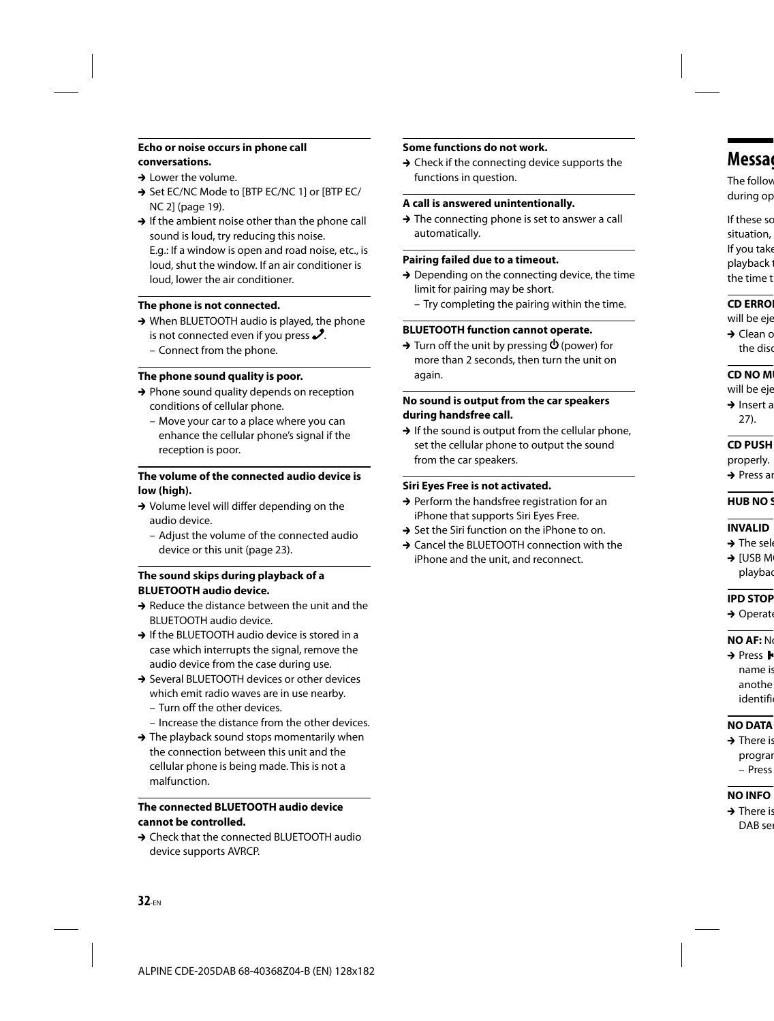#### **Echo or noise occurs in phone call conversations.**

- $\rightarrow$  Lower the volume.
- → Set EC/NC Mode to [BTP EC/NC 1] or [BTP EC/ NC 2] (page 19).
- $\rightarrow$  If the ambient noise other than the phone call sound is loud, try reducing this noise.

E.g.: If a window is open and road noise, etc., is loud, shut the window. If an air conditioner is loud, lower the air conditioner.

#### **The phone is not connected.**

- → When BLUETOOTH audio is played, the phone is not connected even if you press  $\mathcal{S}$ .
	- Connect from the phone.

#### **The phone sound quality is poor.**

- $\rightarrow$  Phone sound quality depends on reception conditions of cellular phone.
	- Move your car to a place where you can enhance the cellular phone's signal if the reception is poor.

#### **The volume of the connected audio device is low (high).**

- → Volume level will differ depending on the audio device.
	- Adjust the volume of the connected audio device or this unit (page 23).

#### **The sound skips during playback of a BLUETOOTH audio device.**

- $\rightarrow$  Reduce the distance between the unit and the BLUETOOTH audio device.
- → If the BLUETOOTH audio device is stored in a case which interrupts the signal, remove the audio device from the case during use.
- → Several BLUETOOTH devices or other devices which emit radio waves are in use nearby.
	- Turn off the other devices.
	- Increase the distance from the other devices.
- $\rightarrow$  The playback sound stops momentarily when the connection between this unit and the cellular phone is being made. This is not a malfunction.

#### **The connected BLUETOOTH audio device cannot be controlled.**

→ Check that the connected BLUETOOTH audio device supports AVRCP.

#### **Some functions do not work.**

 $\rightarrow$  Check if the connecting device supports the functions in question.

#### **A call is answered unintentionally.**

 $\rightarrow$  The connecting phone is set to answer a call automatically.

#### **Pairing failed due to a timeout.**

- $\rightarrow$  Depending on the connecting device, the time limit for pairing may be short.
	- Try completing the pairing within the time.

#### **BLUETOOTH function cannot operate.**

 $\rightarrow$  Turn off the unit by pressing  $\Phi$  (power) for more than 2 seconds, then turn the unit on again.

#### **No sound is output from the car speakers during handsfree call.**

 $\rightarrow$  If the sound is output from the cellular phone, set the cellular phone to output the sound from the car speakers.

#### **Siri Eyes Free is not activated.**

- $\rightarrow$  Perform the handsfree registration for an iPhone that supports Siri Eyes Free.
- $\rightarrow$  Set the Siri function on the iPhone to on.
- → Cancel the BLUETOOTH connection with the iPhone and the unit, and reconnect.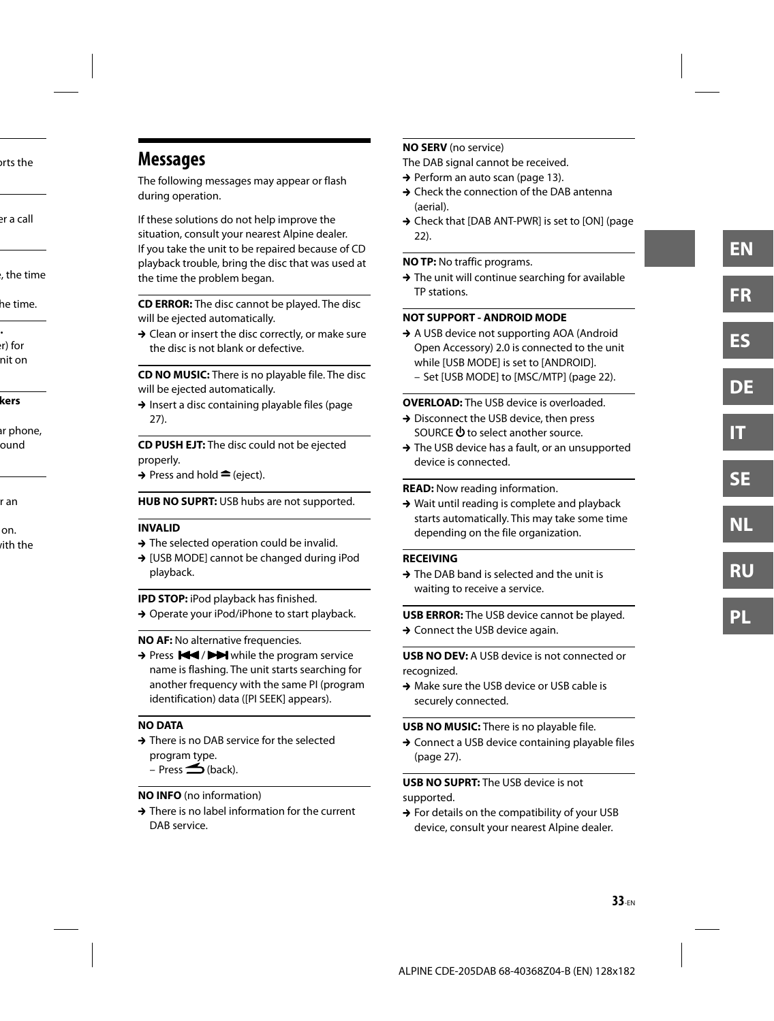# **Messages**

The following messages may appear or flash during operation.

If these solutions do not help improve the situation, consult your nearest Alpine dealer. If you take the unit to be repaired because of CD playback trouble, bring the disc that was used at the time the problem began.

**CD ERROR:** The disc cannot be played. The disc will be ejected automatically.

 $\rightarrow$  Clean or insert the disc correctly, or make sure the disc is not blank or defective.

**CD NO MUSIC:** There is no playable file. The disc will be ejected automatically.

 $\rightarrow$  Insert a disc containing playable files (page 27).

**CD PUSH EJT:** The disc could not be ejected properly.

 $\rightarrow$  Press and hold  $\triangleq$  (eject).

**HUB NO SUPRT:** USB hubs are not supported.

#### **INVALID**

- $\rightarrow$  The selected operation could be invalid.
- → [USB MODE] cannot be changed during iPod playback.

**IPD STOP:** iPod playback has finished. → Operate your iPod/iPhone to start playback.

**NO AF:** No alternative frequencies.

> Press  $\blacktriangleright$  /  $\blacktriangleright$  while the program service name is flashing. The unit starts searching for another frequency with the same PI (program identification) data ([PI SEEK] appears).

#### **NO DATA**

→ There is no DAB service for the selected program type.

 $-$  Press  $\triangle$  (back).

#### **NO INFO** (no information)

 $\rightarrow$  There is no label information for the current DAB service.

#### **NO SERV** (no service)

The DAB signal cannot be received.

- → Perform an auto scan (page 13).
- → Check the connection of the DAB antenna (aerial).
- → Check that [DAB ANT-PWR] is set to [ON] (page 22).

#### **NO TP:** No traffic programs.

 $\rightarrow$  The unit will continue searching for available TP stations.

#### **NOT SUPPORT - ANDROID MODE**

- → A USB device not supporting AOA (Android Open Accessory) 2.0 is connected to the unit while [USB MODE] is set to [ANDROID].
	- Set [USB MODE] to [MSC/MTP] (page 22).

#### **OVERLOAD:** The USB device is overloaded.

- → Disconnect the USB device, then press SOURCE  $\Phi$  to select another source.
- → The USB device has a fault, or an unsupported device is connected.

**READ:** Now reading information.

 $\rightarrow$  Wait until reading is complete and playback starts automatically. This may take some time depending on the file organization.

#### **RECEIVING**

 $\rightarrow$  The DAB band is selected and the unit is waiting to receive a service.

**USB ERROR:** The USB device cannot be played.  $\rightarrow$  Connect the USB device again.

**USB NO DEV:** A USB device is not connected or recognized.

→ Make sure the USB device or USB cable is securely connected.

#### **USB NO MUSIC:** There is no playable file.

→ Connect a USB device containing playable files (page 27).

**USB NO SUPRT:** The USB device is not supported.

 $\rightarrow$  For details on the compatibility of your USB device, consult your nearest Alpine dealer.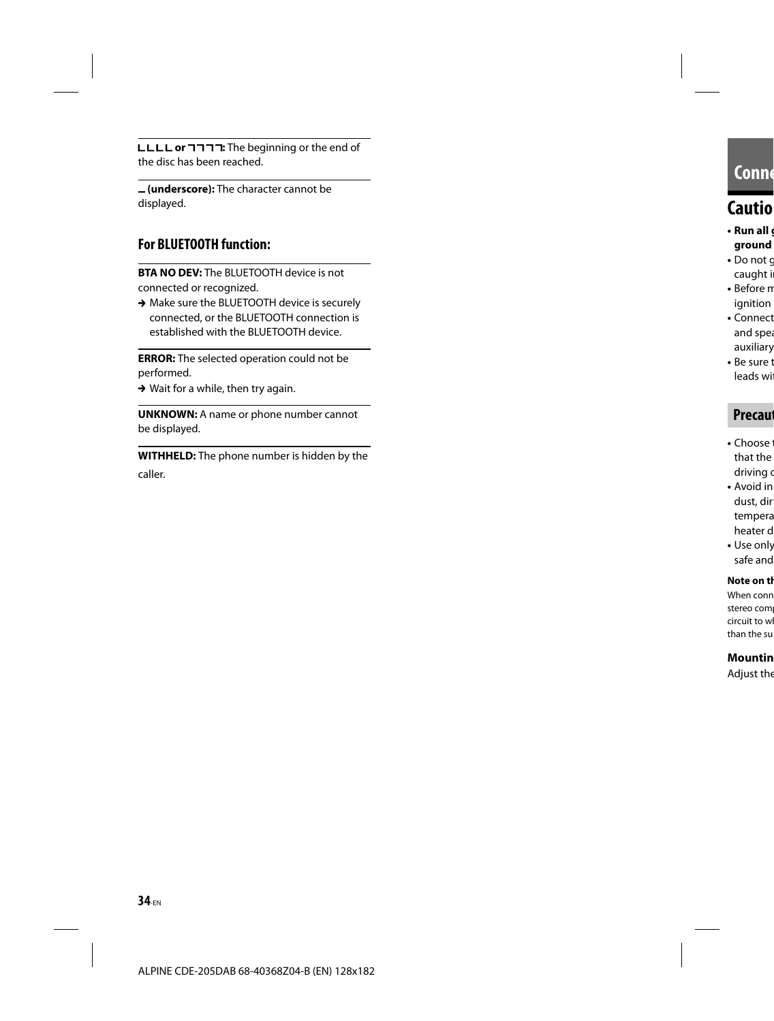**LLLL or**  $\Box \Box \Box$  The beginning or the end of the disc has been reached.

 **(underscore):** The character cannot be displayed.

### **For BLUETOOTH function:**

**BTA NO DEV:** The BLUETOOTH device is not connected or recognized.

→ Make sure the BLUETOOTH device is securely connected, or the BLUETOOTH connection is established with the BLUETOOTH device.

**ERROR:** The selected operation could not be performed.

 $\rightarrow$  Wait for a while, then try again.

**UNKNOWN:** A name or phone number cannot be displayed.

**WITHHELD:** The phone number is hidden by the caller.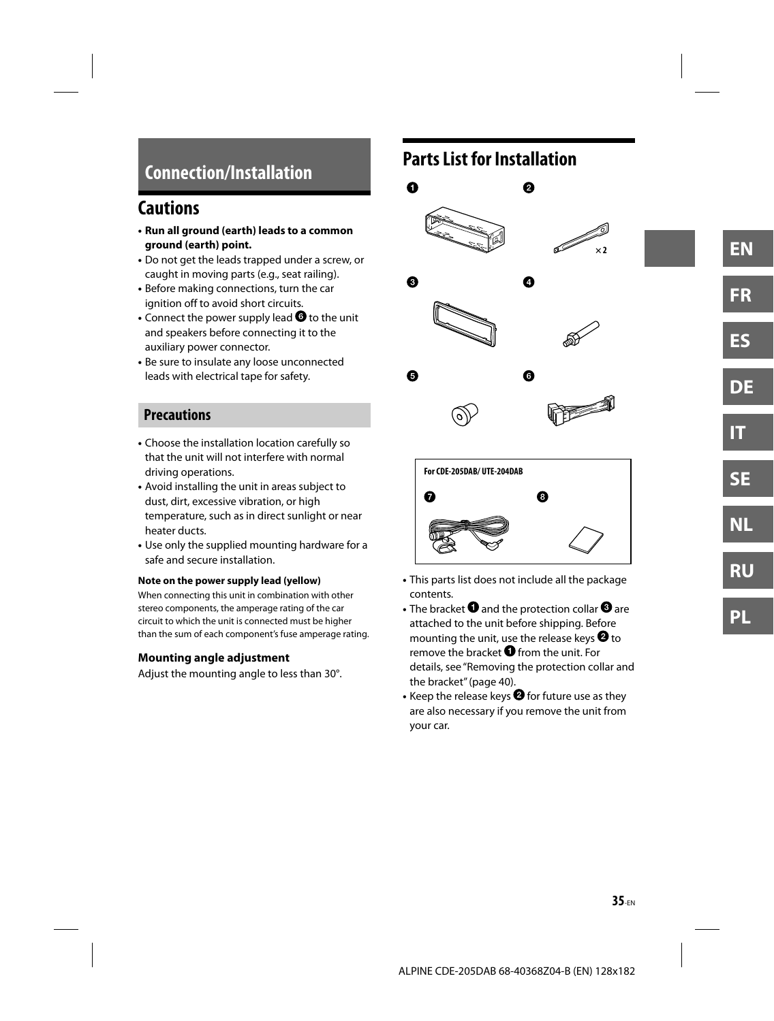# **Connection/Installation**

# **Cautions**

- **Run all ground (earth) leads to a common ground (earth) point.**
- Do not get the leads trapped under a screw, or caught in moving parts (e.g., seat railing).
- Before making connections, turn the car ignition off to avoid short circuits.
- Connect the power supply lead  $\bullet$  to the unit and speakers before connecting it to the auxiliary power connector.
- Be sure to insulate any loose unconnected leads with electrical tape for safety.

# **Precautions**

- Choose the installation location carefully so that the unit will not interfere with normal driving operations.
- Avoid installing the unit in areas subject to dust, dirt, excessive vibration, or high temperature, such as in direct sunlight or near heater ducts.
- Use only the supplied mounting hardware for a safe and secure installation.

#### **Note on the power supply lead (yellow)**

When connecting this unit in combination with other stereo components, the amperage rating of the car circuit to which the unit is connected must be higher than the sum of each component's fuse amperage rating.

#### **Mounting angle adjustment**

Adjust the mounting angle to less than 30°.

# **Parts List for Installation**





- This parts list does not include all the package contents.
- The bracket  $\bigcirc$  and the protection collar  $\bigcirc$  are attached to the unit before shipping. Before mounting the unit, use the release keys  $\mathbf{\Theta}$  to remove the bracket  $\bigcirc$  from the unit. For details, see "Removing the protection collar and the bracket" (page 40).
- Keep the release keys  $\bullet$  for future use as they are also necessary if you remove the unit from your car.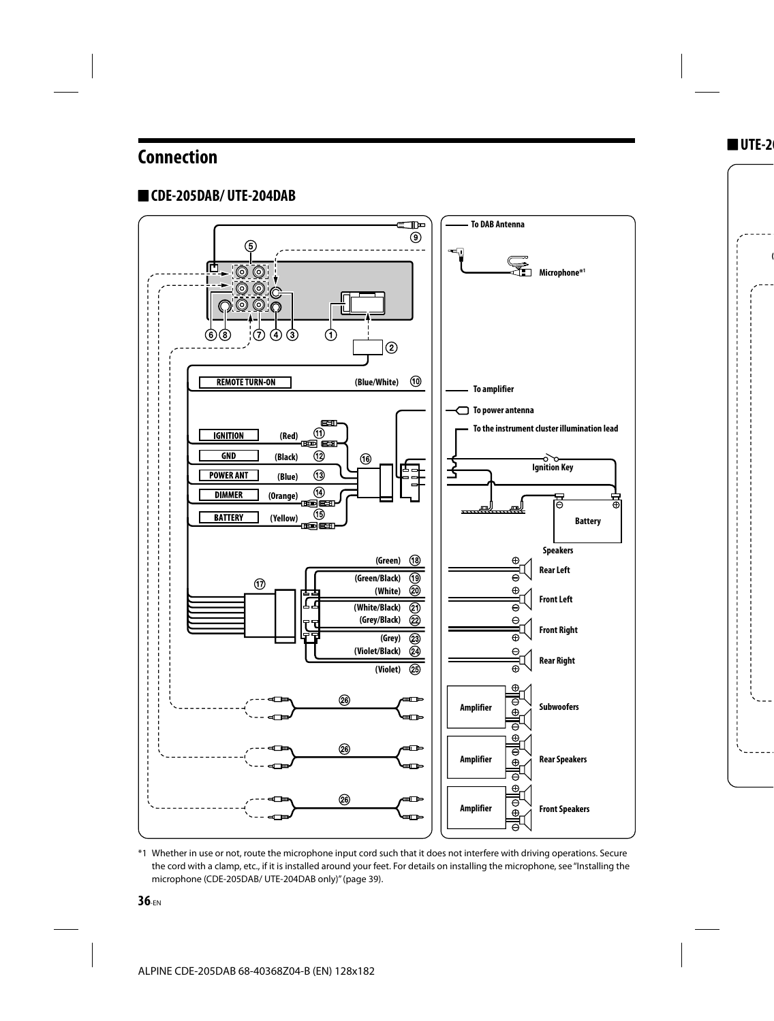# **Connection**

# **CDE-205DAB/ UTE-204DAB**



\*1 Whether in use or not, route the microphone input cord such that it does not interfere with driving operations. Secure the cord with a clamp, etc., if it is installed around your feet. For details on installing the microphone, see "Installing the microphone (CDE-205DAB/ UTE-204DAB only)" (page 39).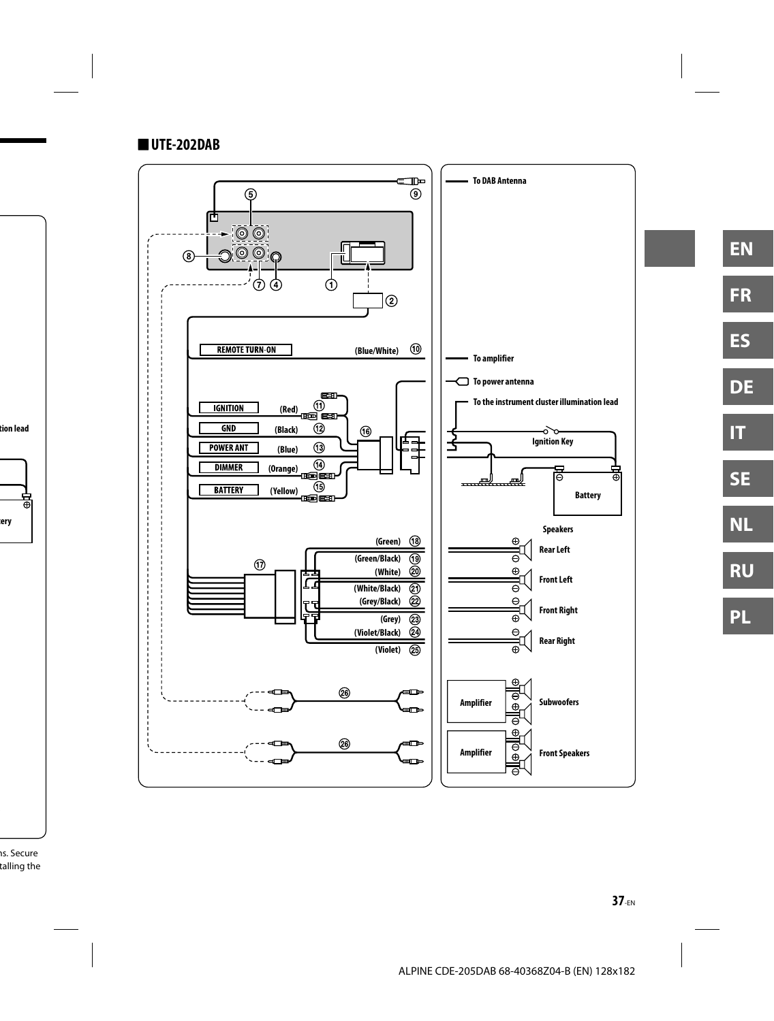### **UTE-202DAB**

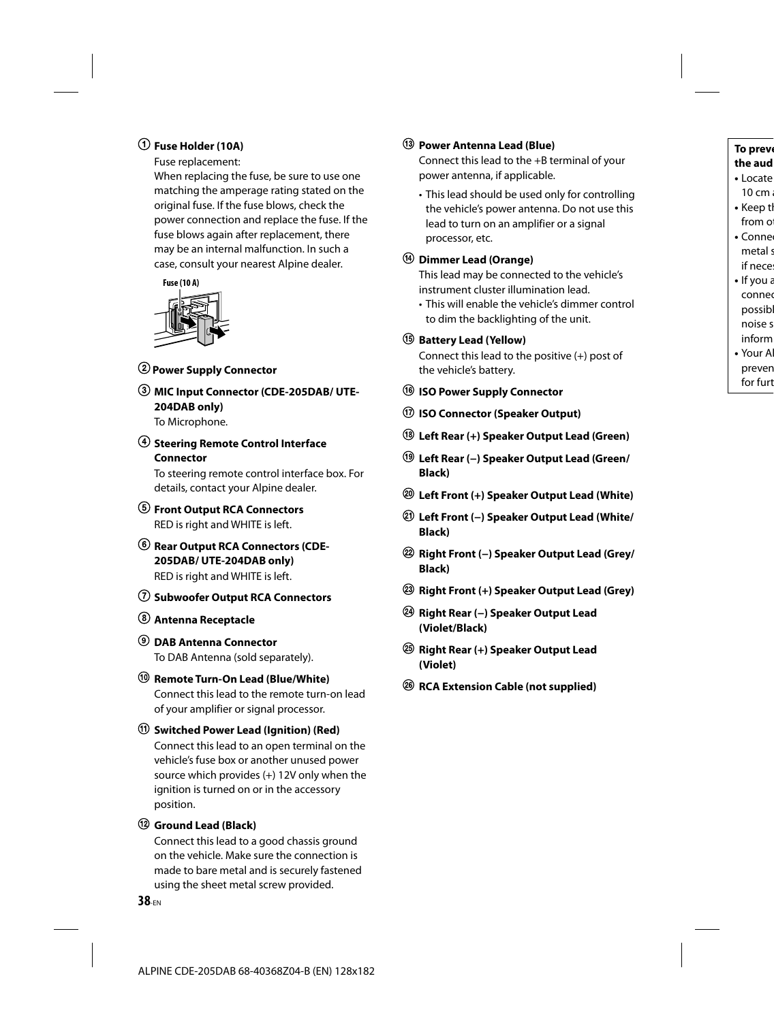### **Fuse Holder (10A)**

Fuse replacement:

When replacing the fuse, be sure to use one matching the amperage rating stated on the original fuse. If the fuse blows, check the power connection and replace the fuse. If the fuse blows again after replacement, there may be an internal malfunction. In such a case, consult your nearest Alpine dealer.



- **Power Supply Connector**
- **MIC Input Connector (CDE-205DAB/ UTE-204DAB only)**

To Microphone.

 **Steering Remote Control Interface Connector**

To steering remote control interface box. For details, contact your Alpine dealer.

- **Front Output RCA Connectors** RED is right and WHITE is left.
- **Rear Output RCA Connectors (CDE-205DAB/ UTE-204DAB only)** RED is right and WHITE is left.
- **Subwoofer Output RCA Connectors**
- **Antenna Receptacle**
- **DAB Antenna Connector** To DAB Antenna (sold separately).
- **Remote Turn-On Lead (Blue/White)** Connect this lead to the remote turn-on lead of your amplifier or signal processor.
- **Switched Power Lead (Ignition) (Red)** Connect this lead to an open terminal on the vehicle's fuse box or another unused power source which provides (+) 12V only when the ignition is turned on or in the accessory position.

#### **Ground Lead (Black)**

Connect this lead to a good chassis ground on the vehicle. Make sure the connection is made to bare metal and is securely fastened using the sheet metal screw provided.

#### **Power Antenna Lead (Blue)**

Connect this lead to the +B terminal of your power antenna, if applicable.

• This lead should be used only for controlling the vehicle's power antenna. Do not use this lead to turn on an amplifier or a signal processor, etc.

#### **Dimmer Lead (Orange)**

This lead may be connected to the vehicle's instrument cluster illumination lead.

• This will enable the vehicle's dimmer control to dim the backlighting of the unit.

#### **Battery Lead (Yellow)**

Connect this lead to the positive (+) post of the vehicle's battery.

- **ISO Power Supply Connector**
- **ISO Connector (Speaker Output)**
- **Left Rear (+) Speaker Output Lead (Green)**
- **Left Rear (−) Speaker Output Lead (Green/ Black)**
- **Left Front (+) Speaker Output Lead (White)**
- **Left Front (−) Speaker Output Lead (White/ Black)**
- **Right Front (−) Speaker Output Lead (Grey/ Black)**
- **Right Front (+) Speaker Output Lead (Grey)**
- **Right Rear (−) Speaker Output Lead (Violet/Black)**
- **Right Rear (+) Speaker Output Lead (Violet)**
- **RCA Extension Cable (not supplied)**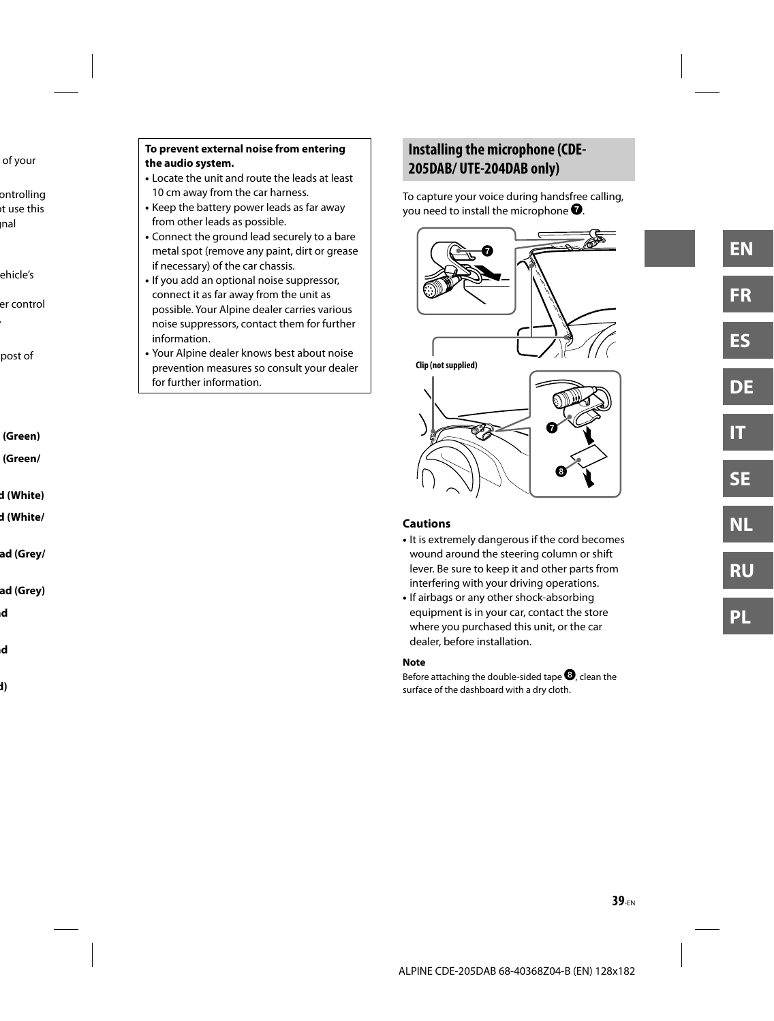#### **To prevent external noise from entering the audio system.**

- Locate the unit and route the leads at least 10 cm away from the car harness.
- Keep the battery power leads as far away from other leads as possible.
- Connect the ground lead securely to a bare metal spot (remove any paint, dirt or grease if necessary) of the car chassis.
- If you add an optional noise suppressor, connect it as far away from the unit as possible. Your Alpine dealer carries various noise suppressors, contact them for further information.
- Your Alpine dealer knows best about noise prevention measures so consult your dealer for further information.

# **Installing the microphone (CDE-205DAB/ UTE-204DAB only)**

To capture your voice during handsfree calling, you need to install the microphone  $\bullet$ .



#### **Cautions**

- It is extremely dangerous if the cord becomes wound around the steering column or shift lever. Be sure to keep it and other parts from interfering with your driving operations.
- If airbags or any other shock-absorbing equipment is in your car, contact the store where you purchased this unit, or the car dealer, before installation.

#### **Note**

Before attaching the double-sided tape  $\mathbf{\Theta}$ , clean the surface of the dashboard with a dry cloth.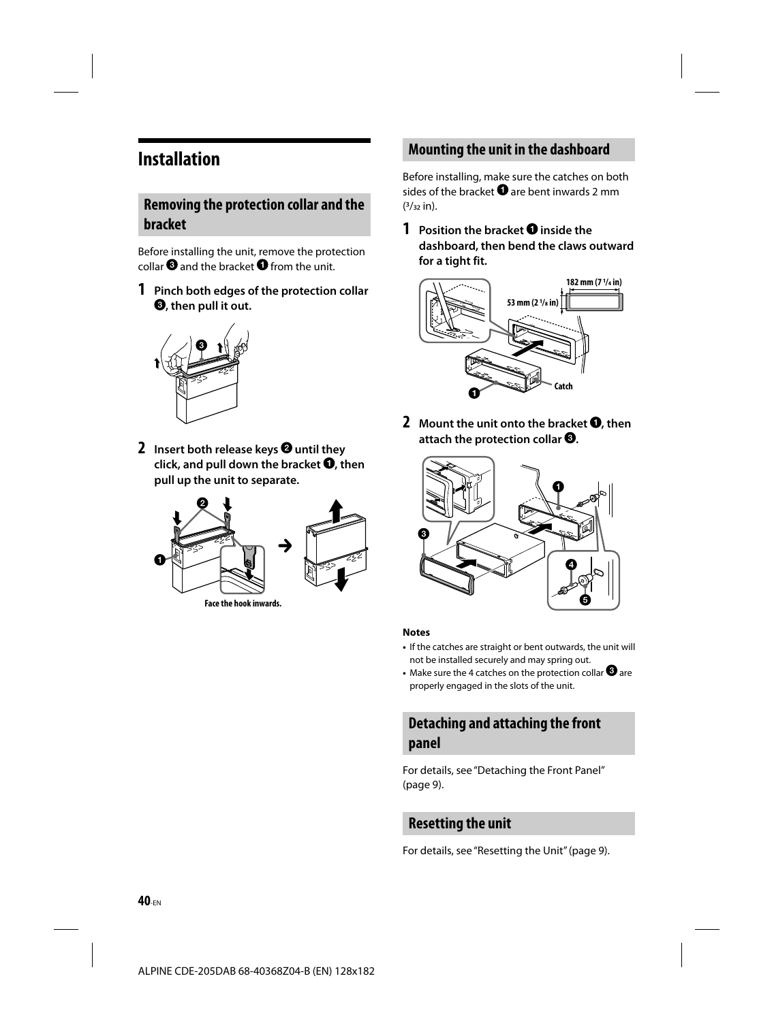# **Installation**

### **Removing the protection collar and the bracket**

Before installing the unit, remove the protection collar  $\boldsymbol{0}$  and the bracket  $\boldsymbol{0}$  from the unit.

**1 Pinch both edges of the protection collar , then pull it out.**



**2** Insert both release keys **@** until they click, and pull down the bracket  $\bullet$ , then **pull up the unit to separate.**



**Face the hook inwards.**

# **Mounting the unit in the dashboard**

Before installing, make sure the catches on both sides of the bracket  $\bullet$  are bent inwards 2 mm  $(3/32)$  in).

**1** Position the bracket **O** inside the **dashboard, then bend the claws outward for a tight fit.**



**2** Mount the unit onto the bracket **O**, then attach the protection collar <sup>.</sup>



#### **Notes**

- If the catches are straight or bent outwards, the unit will not be installed securely and may spring out.
- Make sure the 4 catches on the protection collar  $\bigcirc$  are properly engaged in the slots of the unit.

# **Detaching and attaching the front panel**

For details, see "Detaching the Front Panel" (page 9).

### **Resetting the unit**

For details, see "Resetting the Unit" (page 9).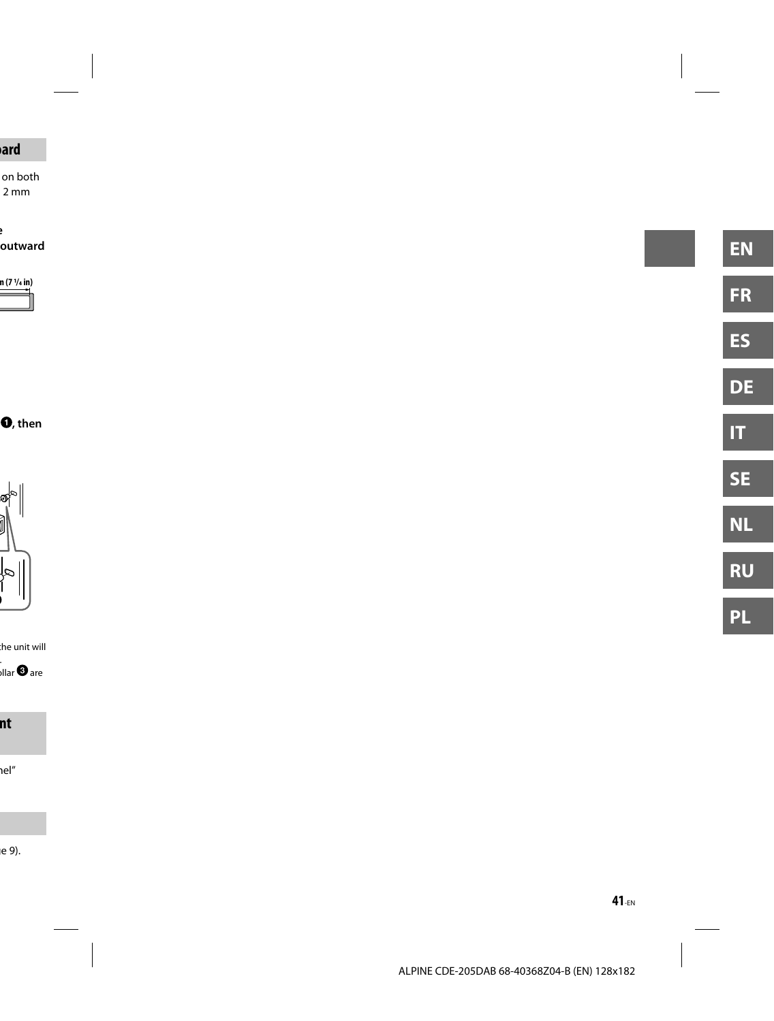-EN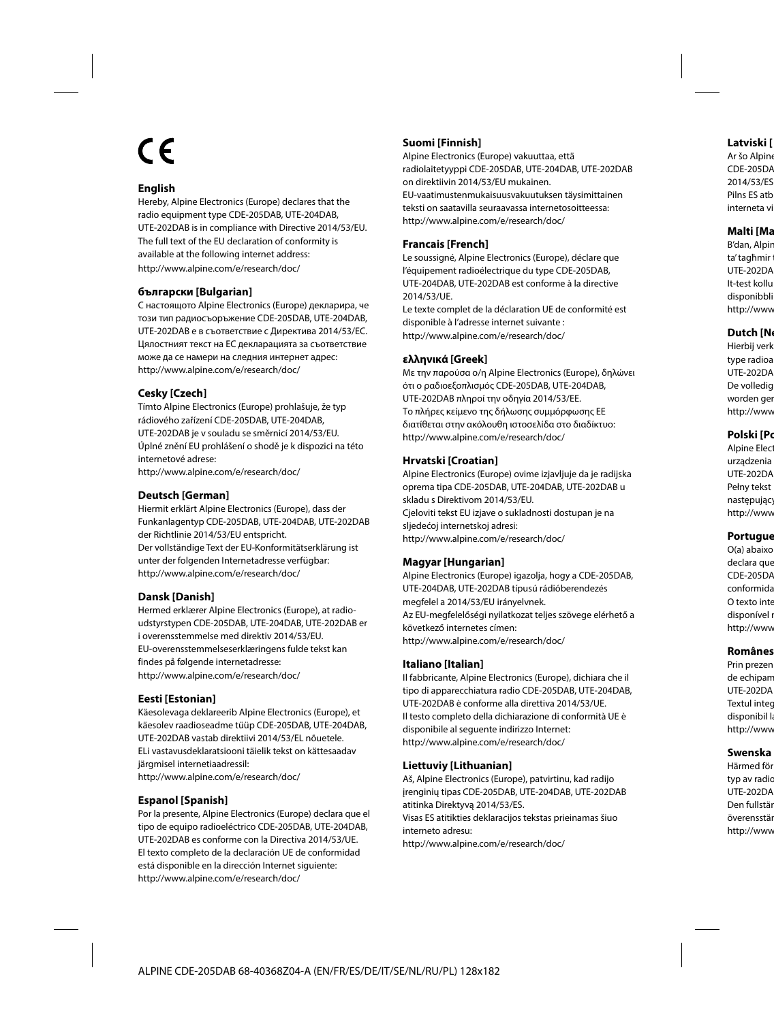# (C

#### **English**

Hereby, Alpine Electronics (Europe) declares that the radio equipment type CDE-205DAB, UTE-204DAB, UTE-202DAB is in compliance with Directive 2014/53/EU. The full text of the EU declaration of conformity is available at the following internet address: http://www.alpine.com/e/research/doc/

#### **български [Bulgarian]**

С настоящото Alpine Electronics (Europe) декларира, че този тип радиосъоръжение CDE-205DAB, UTE-204DAB, UTE-202DAB е в съответствие с Директива 2014/53/ЕС. Цялостният текст на ЕС декларацията за съответствие може да се намери на следния интернет адрес: http://www.alpine.com/e/research/doc/

#### **Cesky [Czech]**

Tímto Alpine Electronics (Europe) prohlašuje, že typ rádiového zařízení CDE-205DAB, UTE-204DAB, UTE-202DAB je v souladu se směrnicí 2014/53/EU. Úplné znění EU prohlášení o shodě je k dispozici na této internetové adrese: http://www.alpine.com/e/research/doc/

#### **Deutsch [German]**

Hiermit erklärt Alpine Electronics (Europe), dass der Funkanlagentyp CDE-205DAB, UTE-204DAB, UTE-202DAB der Richtlinie 2014/53/EU entspricht. Der vollständige Text der EU-Konformitätserklärung ist unter der folgenden Internetadresse verfügbar: http://www.alpine.com/e/research/doc/

#### **Dansk [Danish]**

Hermed erklærer Alpine Electronics (Europe), at radioudstyrstypen CDE-205DAB, UTE-204DAB, UTE-202DAB er i overensstemmelse med direktiv 2014/53/EU. EU-overensstemmelseserklæringens fulde tekst kan findes på følgende internetadresse: http://www.alpine.com/e/research/doc/

#### **Eesti [Estonian]**

Käesolevaga deklareerib Alpine Electronics (Europe), et käesolev raadioseadme tüüp CDE-205DAB, UTE-204DAB, UTE-202DAB vastab direktiivi 2014/53/EL nõuetele. ELi vastavusdeklaratsiooni täielik tekst on kättesaadav järgmisel internetiaadressil: http://www.alpine.com/e/research/doc/

#### **Espanol [Spanish]**

Por la presente, Alpine Electronics (Europe) declara que el tipo de equipo radioeléctrico CDE-205DAB, UTE-204DAB, UTE-202DAB es conforme con la Directiva 2014/53/UE. El texto completo de la declaración UE de conformidad está disponible en la dirección Internet siguiente: http://www.alpine.com/e/research/doc/

#### **Suomi [Finnish]**

Alpine Electronics (Europe) vakuuttaa, että radiolaitetyyppi CDE-205DAB, UTE-204DAB, UTE-202DAB on direktiivin 2014/53/EU mukainen. EU-vaatimustenmukaisuusvakuutuksen täysimittainen teksti on saatavilla seuraavassa internetosoitteessa: http://www.alpine.com/e/research/doc/

#### **Francais [French]**

Le soussigné, Alpine Electronics (Europe), déclare que l'équipement radioélectrique du type CDE-205DAB, UTE-204DAB, UTE-202DAB est conforme à la directive 2014/53/UE.

Le texte complet de la déclaration UE de conformité est disponible à l'adresse internet suivante : http://www.alpine.com/e/research/doc/

#### **ελληνικά [Greek]**

Με την παρούσα ο/η Alpine Electronics (Europe), δηλώνει ότι ο ραδιοεξοπλισμός CDE-205DAB, UTE-204DAB, UTE-202DAB πληροί την οδηγία 2014/53/ΕΕ. Το πλήρες κείμενο της δήλωσης συμμόρφωσης ΕΕ διατίθεται στην ακόλουθη ιστοσελίδα στο διαδίκτυο: http://www.alpine.com/e/research/doc/

#### **Hrvatski [Croatian]**

Alpine Electronics (Europe) ovime izjavljuje da je radijska oprema tipa CDE-205DAB, UTE-204DAB, UTE-202DAB u skladu s Direktivom 2014/53/EU. Cjeloviti tekst EU izjave o sukladnosti dostupan je na sljedećoj internetskoj adresi: http://www.alpine.com/e/research/doc/

#### **Magyar [Hungarian]**

Alpine Electronics (Europe) igazolja, hogy a CDE-205DAB, UTE-204DAB, UTE-202DAB típusú rádióberendezés megfelel a 2014/53/EU irányelvnek. Az EU-megfelelőségi nyilatkozat teljes szövege elérhető a következő internetes címen: http://www.alpine.com/e/research/doc/

#### **Italiano [Italian]**

Il fabbricante, Alpine Electronics (Europe), dichiara che il tipo di apparecchiatura radio CDE-205DAB, UTE-204DAB, UTE-202DAB è conforme alla direttiva 2014/53/UE. Il testo completo della dichiarazione di conformità UE è disponibile al seguente indirizzo Internet: http://www.alpine.com/e/research/doc/

#### **Liettuviy [Lithuanian]**

Aš, Alpine Electronics (Europe), patvirtinu, kad radijo įrenginių tipas CDE-205DAB, UTE-204DAB, UTE-202DAB atitinka Direktyvą 2014/53/ES.

Visas ES atitikties deklaracijos tekstas prieinamas šiuo interneto adresu:

http://www.alpine.com/e/research/doc/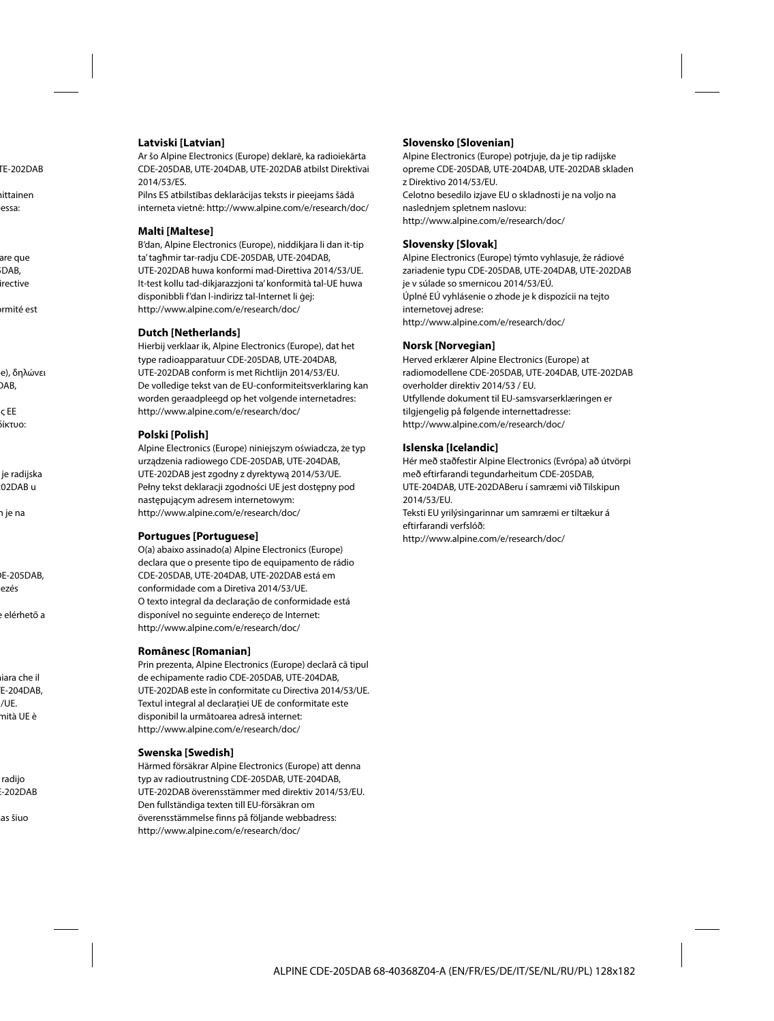#### **Latviski [Latvian]**

Ar šo Alpine Electronics (Europe) deklarē, ka radioiekārta CDE-205DAB, UTE-204DAB, UTE-202DAB atbilst Direktīvai 2014/53/ES.

Pilns ES atbilstības deklarācijas teksts ir pieejams šādā interneta vietnē: http://www.alpine.com/e/research/doc/

#### **Malti [Maltese]**

B'dan, Alpine Electronics (Europe), niddikjara li dan it-tip ta' tagħmir tar-radju CDE-205DAB, UTE-204DAB, UTE-202DAB huwa konformi mad-Direttiva 2014/53/UE. It-test kollu tad-dikjarazzjoni ta' konformità tal-UE huwa disponibbli f'dan l-indirizz tal-Internet li ġej: http://www.alpine.com/e/research/doc/

#### **Dutch [Netherlands]**

Hierbij verklaar ik, Alpine Electronics (Europe), dat het type radioapparatuur CDE-205DAB, UTE-204DAB, UTE-202DAB conform is met Richtlijn 2014/53/EU. De volledige tekst van de EU-conformiteitsverklaring kan worden geraadpleegd op het volgende internetadres: http://www.alpine.com/e/research/doc/

#### **Polski [Polish]**

Alpine Electronics (Europe) niniejszym oświadcza, że typ urządzenia radiowego CDE-205DAB, UTE-204DAB, UTE-202DAB jest zgodny z dyrektywą 2014/53/UE. Pełny tekst deklaracji zgodności UE jest dostępny pod następującym adresem internetowym: http://www.alpine.com/e/research/doc/

#### **Portugues [Portuguese]**

O(a) abaixo assinado(a) Alpine Electronics (Europe) declara que o presente tipo de equipamento de rádio CDE-205DAB, UTE-204DAB, UTE-202DAB está em conformidade com a Diretiva 2014/53/UE. O texto integral da declaração de conformidade está disponível no seguinte endereço de Internet: http://www.alpine.com/e/research/doc/

#### **Românesc [Romanian]**

Prin prezenta, Alpine Electronics (Europe) declară că tipul de echipamente radio CDE-205DAB, UTE-204DAB, UTE-202DAB este în conformitate cu Directiva 2014/53/UE. Textul integral al declarației UE de conformitate este disponibil la următoarea adresă internet: http://www.alpine.com/e/research/doc/

#### **Swenska [Swedish]**

Härmed försäkrar Alpine Electronics (Europe) att denna typ av radioutrustning CDE-205DAB, UTE-204DAB, UTE-202DAB överensstämmer med direktiv 2014/53/EU. Den fullständiga texten till EU-försäkran om överensstämmelse finns på följande webbadress: http://www.alpine.com/e/research/doc/

#### **Slovensko [Slovenian]**

Alpine Electronics (Europe) potrjuje, da je tip radijske opreme CDE-205DAB, UTE-204DAB, UTE-202DAB skladen z Direktivo 2014/53/EU. Celotno besedilo izjave EU o skladnosti je na voljo na naslednjem spletnem naslovu: http://www.alpine.com/e/research/doc/

#### **Slovensky [Slovak]**

Alpine Electronics (Europe) týmto vyhlasuje, že rádiové zariadenie typu CDE-205DAB, UTE-204DAB, UTE-202DAB je v súlade so smernicou 2014/53/EÚ. Úplné EÚ vyhlásenie o zhode je k dispozícii na tejto internetovej adrese: http://www.alpine.com/e/research/doc/

#### **Norsk [Norvegian]**

Herved erklærer Alpine Electronics (Europe) at radiomodellene CDE-205DAB, UTE-204DAB, UTE-202DAB overholder direktiv 2014/53 / EU. Utfyllende dokument til EU-samsvarserklæringen er tilgjengelig på følgende internettadresse: http://www.alpine.com/e/research/doc/

#### **Islenska [Icelandic]**

Hér með staðfestir Alpine Electronics (Evrópa) að útvörpi með eftirfarandi tegundarheitum CDE-205DAB, UTE-204DAB, UTE-202DABeru í samræmi við Tilskipun 2014/53/EU. Teksti EU yrilýsingarinnar um samræmi er tiltækur á eftirfarandi verfslóð:

http://www.alpine.com/e/research/doc/